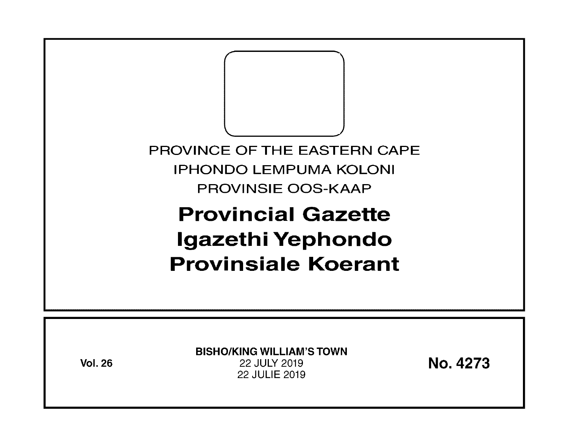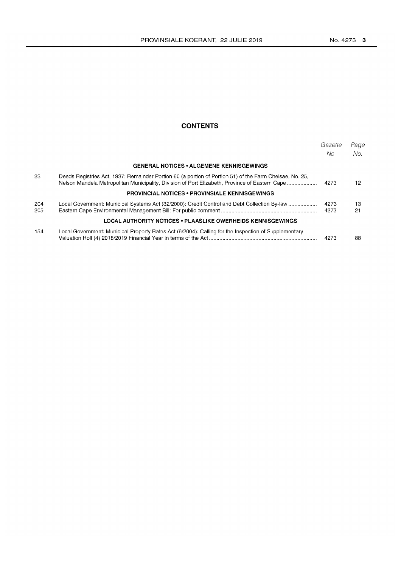# **CONTENTS**

|            |                                                                                                                                                                                                           | Gazette<br>No. | Page<br>No. |
|------------|-----------------------------------------------------------------------------------------------------------------------------------------------------------------------------------------------------------|----------------|-------------|
|            | <b>GENERAL NOTICES • ALGEMENE KENNISGEWINGS</b>                                                                                                                                                           |                |             |
| 23         | Deeds Registries Act, 1937: Remainder Portion 60 (a portion of Portion 51) of the Farm Chelsae, No. 25,<br>Nelson Mandela Metropolitan Municipality, Division of Port Elizabeth, Province of Eastern Cape | 4273           | 12          |
|            | <b>PROVINCIAL NOTICES • PROVINSIALE KENNISGEWINGS</b>                                                                                                                                                     |                |             |
| 204<br>205 | Local Government: Municipal Systems Act (32/2000): Credit Control and Debt Collection By-law                                                                                                              | 4273<br>4273   | 13<br>21    |
|            | LOCAL AUTHORITY NOTICES • PLAASLIKE OWERHEIDS KENNISGEWINGS                                                                                                                                               |                |             |
| 154        | Local Government: Municipal Property Rates Act (6/2004): Calling for the Inspection of Supplementary                                                                                                      | 4273           | 88          |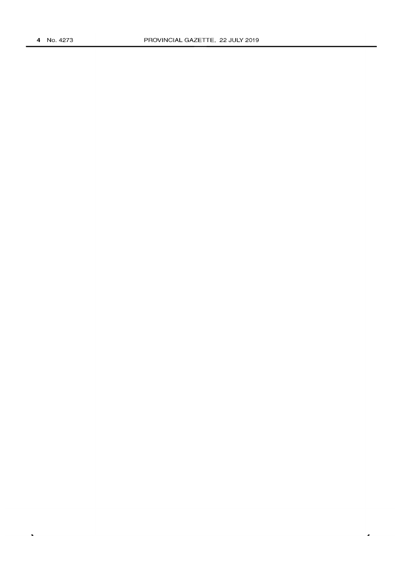$\hat{\mathbf{z}}$ 

 $\hat{\textbf{z}}$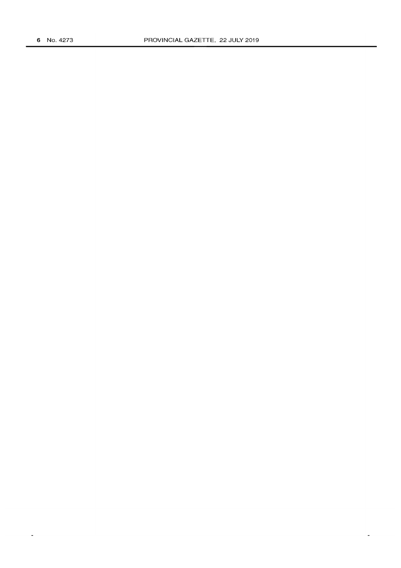$\mathbb{Z}^2$ 

 $\hat{\phantom{a}}$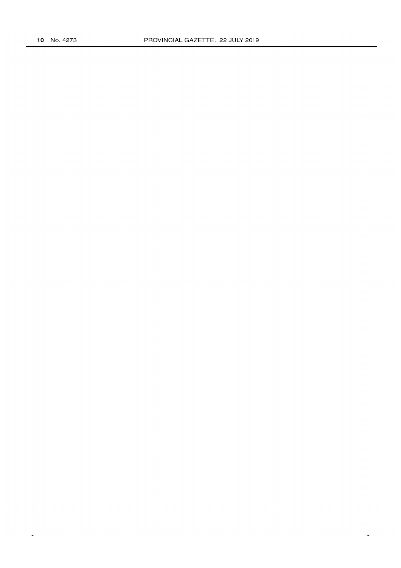$\Box$ 

 $\overline{\phantom{a}}$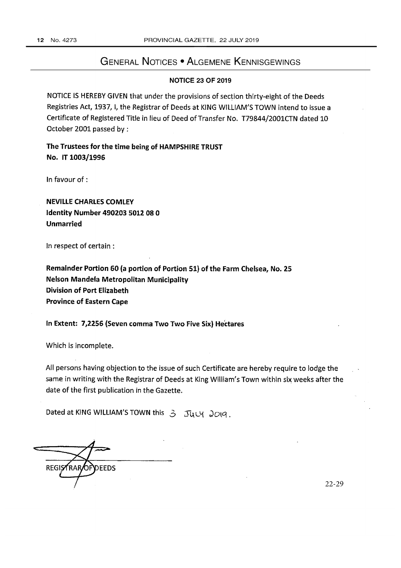# GENERAL NOTICES • ALGEMENE KENNISGEWINGS

### NOTICE 23 OF 2019

NOTICE IS HEREBY GIVEN that under the provisions of section thirty-eight of the Deeds Registries Act, 1937, I, the Registrar of Deeds at KING WILLIAM'S TOWN intend to issue a Certificate of Registered Title in lieu of Deed of Transfer No. T79844/2001CTN dated 10 October 2001 passed by :

The Trustees for the time being of HAMPSHIRE TRUST No. IT 1003/1996

In favour of :

NEVILLE CHARLES COMLEY Identity Number 4902035012080 Unmarried

In respect of certain:

Remainder Portion 60 (a portion of Portion 51) of the Farm Chelsea, No. 25 Nelson Mandela Metropolitan Municipality Division of Port Elizabeth Province of Eastern Cape

In Extent: 7,2256 (Seven comma Two Two Five Six) Hectares

Which is incomplete.

All persons having objection to the issue of such Certificate are hereby require to lodge the same in writing with the Registrar of Deeds at King William's Town within six weeks after the date of the first publication in the Gazette.

Dated at KING WILLIAM'S TOWN this  $3$  July 2019.

REGISTRAROF **DEEDS** 

22-29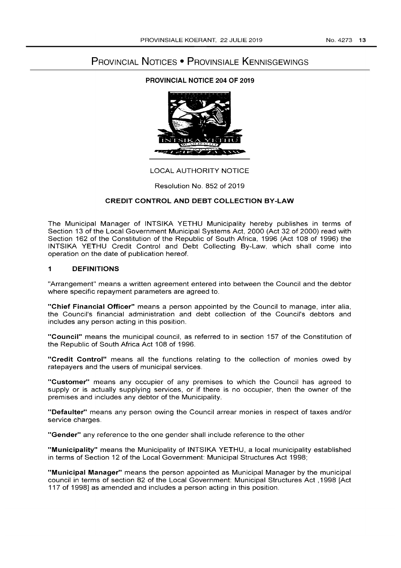# PROVINCIAL NOTICES • PROVINSIALE KENNISGEWINGS

### **PROVINCIAL NOTICE 204 OF 2019**



LOCAL AUTHORITY NOTICE

Resolution No. 852 of 2019

# **CREDIT CONTROL AND DEBT COLLECTION BY-LAW**

The Municipal Manager of INTSIKA YETHU Municipality hereby publishes in terms of Section 13 of the Local Government Municipal Systems Act, 2000 (Act 32 of 2000) read with Section 162 of the Constitution of the Republic of South Africa, 1996 (Act 108 of 1996) the INTSIKA YETHU Credit Control and Debt Collecting By-Law, which shall come into operation on the date of publication hereof.

### **1 DEFINITIONS**

"Arrangement" means a written agreement entered into between the Council and the debtor where specific repayment parameters are agreed to.

**"Chief Financial Officer"** means a person appointed by the Council to manage, inter alia, the Council's financial administration and debt collection of the Council's debtors and includes any person acting in this position.

**"Council"** means the municipal council, as referred to in section 157 of the Constitution of the Republic of South Africa Act 108 of 1996.

**"Credit Control"** means all the functions relating to the collection of monies owed by ratepayers and the users of municipal services.

**"Customer"** means any occupier of any premises to which the Council has agreed to supply or is actually supplying services, or if there is no occupier, then the owner of the premises and includes any debtor of the Municipality.

**"Defaulter"** means any person owing the Council arrear monies in respect of taxes and/or service charges.

**"Gender"** any reference to the one gender shall include reference to the other

**"Municipality"** means the Municipality of INTSIKA YETHU, a local municipality established in terms of Section 12 of the Local Government: Municipal Structures Act 1998;

**"Municipal Manager"** means the person appointed as Municipal Manager by the municipal council in terms of section 82 of the Local Government: Municipal Structures Act, 1998 [Act 117 of 1998] as amended and includes a person acting in this position.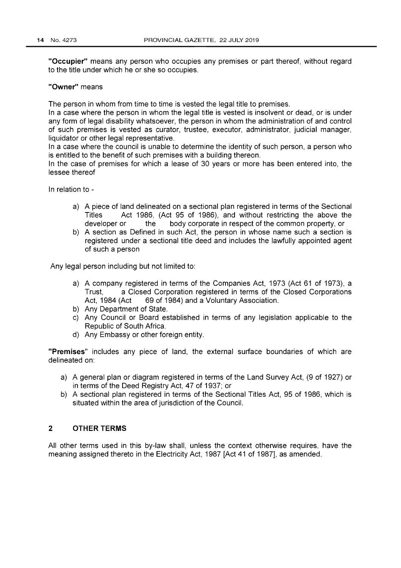**"Occupier"** means any person who occupies any premises or part thereof, without regard to the title under which he or she so occupies.

# **"Owner"** means

The person in whom from time to time is vested the legal title to premises.

In a case where the person in whom the legal title is vested is insolvent or dead, or is under any form of legal disability whatsoever, the person in whom the administration of and control of such premises is vested as curator, trustee, executor, administrator, judicial manager, liquidator or other legal representative.

In a case where the council is unable to determine the identity of such person, a person who is entitled to the benefit of such premises with a building thereon.

In the case of premises for which a lease of 30 years or more has been entered into, the lessee thereof

In relation to -

- a) A piece of land delineated on a sectional plan registered in terms of the Sectional Titles Act 1986, (Act 95 of 1986), and without restricting the above the developer or the body corporate in respect of the common property, or
- b) A section as Defined in such Act, the person in whose name such a section is registered under a sectional title deed and includes the lawfully appointed agent of such a person

Any legal person including but not limited to:

- a) A company registered in terms of the Companies Act, 1973 (Act 61 of 1973), a Trust, a Closed Corporation registered in terms of the Closed Corporations Act, 1984 (Act 69 of 1984) and a Voluntary Association.
- b) Any Department of State.
- c) Any Council or Board established in terms of any legislation applicable to the Republic of South Africa.
- d) Any Embassy or other foreign entity.

**"Premises"** includes any piece of land, the external surface boundaries of which are delineated on:

- a) A general plan or diagram registered in terms of the Land Survey Act, (9 of 1927) or in terms of the Deed Registry Act, 47 of 1937; or
- b) A sectional plan registered in terms of the Sectional Titles Act, 95 of 1986, which is situated within the area of jurisdiction of the Council.

# **2 OTHER TERMS**

All other terms used in this by-law shall, unless the context otherwise requires, have the meaning assigned thereto in the Electricity Act, 1987 [Act 41 of 1987], as amended.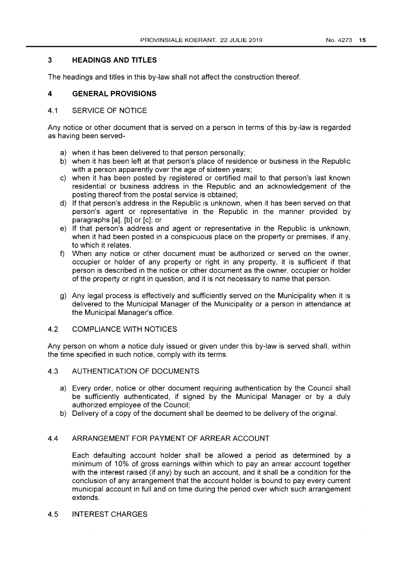# 3 **HEADINGS AND TITLES**

The headings and titles in this by-law shall not affect the construction thereof.

# **4 GENERAL PROVISIONS**

# 4.1 SERVICE OF NOTICE

Any notice or other document that is served on a person in terms of this by-law is regarded as having been served-

- a) when it has been delivered to that person personally;
- b) when it has been left at that person's place of residence or business in the Republic with a person apparently over the age of sixteen years;
- c) when it has been posted by registered or certified mail to that person's last known residential or business address in the Republic and an acknowledgement of the posting thereof from the postal service is obtained;
- d) If that person's address in the Republic is unknown, when it has been served on that person's agent or representative in the Republic in the manner provided by paragraphs [a], [b] or [c]; or
- e) If that person's address and agent or representative in the Republic is unknown, when it had been posted in a conspicuous place on the property or premises, if any, to which it relates.
- f) When any notice or other document must be authorized or served on the owner, occupier or holder of any property or right in any property, it is sufficient if that person is described in the notice or other document as the owner, occupier or holder of the property or right in question, and it is not necessary to name that person.
- g) Any legal process is effectively and sufficiently served on the Municipality when it is delivered to the Municipal Manager of the Municipality or a person in attendance at the Municipal Manager's office.

# 4.2 COMPLIANCE WITH NOTICES

Any person on whom a notice duly issued or given under this by-law is served shall, within the time specified in such notice, comply with its terms.

- 4.3 AUTHENTICATION OF DOCUMENTS
	- a) Every order, notice or other document requiring authentication by the Council shall be sufficiently authenticated, if signed by the Municipal Manager or by a duly authorized employee of the Council;
	- b) Delivery of a copy of the document shall be deemed to be delivery of the original.

# **4.4** ARRANGEMENT FOR PAYMENT OF ARREAR ACCOUNT

Each defaulting account holder shall be allowed a period as determined by a minimum of 10% of gross earnings within which to pay an arrear account together with the interest raised (if any) by such an account, and it shall be a condition for the conclusion of any arrangement that the account holder is bound to pay every current municipal account in full and on time during the period over which such arrangement extends.

# 4.5 INTEREST CHARGES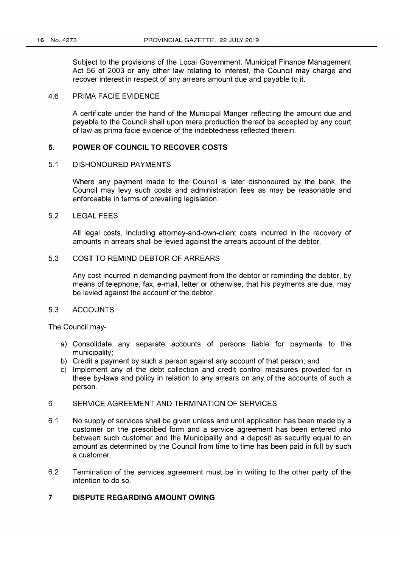Subject to the provisions of the Local Government: Municipal Finance Management Act 56 of 2003 or any other law relating to interest, the Council may charge and recover interest in respect of any arrears amount due and payable to it.

### 4.6 PRIMA FACIE EVIDENCE

A certificate under the hand of the Municipal Manger reflecting the amount due and payable to the Council shall upon mere production thereof be accepted by any court of law as prima facie evidence of the indebtedness reflected therein.

# **5. POWER OF COUNCIL TO RECOVER COSTS**

### 5.1 DISHONOURED PAYMENTS

Where any payment made to the Council is later dishonoured by the bank, the Council may levy such costs and administration fees as may be reasonable and enforceable in terms of prevailing legislation.

# 5.2 LEGAL FEES

All legal costs, including attorney-and-own-client costs incurred in the recovery of amounts in arrears shall be levied against the arrears account of the debtor.

### 5.3 COST TO REMIND DEBTOR OF ARREARS

Any cost incurred in demanding payment from the debtor or reminding the debtor, by means of telephone, fax, e-mail, letter or otherwise, that his payments are due, may be levied against the account of the debtor.

# 5.3 ACCOUNTS

The Council may-

- a) Consolidate any separate accounts of persons liable for payments to the municipality;
- b) Credit a payment by such a person against any account of that person; and
- c) Implement any of the debt collection and credit control measures provided for in these by-laws and policy in relation to any arrears on any of the accounts of such a person.
- 6 SERVICE AGREEMENT AND TERMINATION OF SERVICES
- 6.1 No supply of services shall be given unless and until application has been made by a customer on the prescribed form and a service agreement has been entered into between such customer and the Municipality and a deposit as security equal to an amount as determined by the Council from time to time has been paid in full by such a customer.
- 6.2 Termination of the services agreement must be in writing to the other party of the intention to do so.

### **7 DISPUTE REGARDING AMOUNT OWING**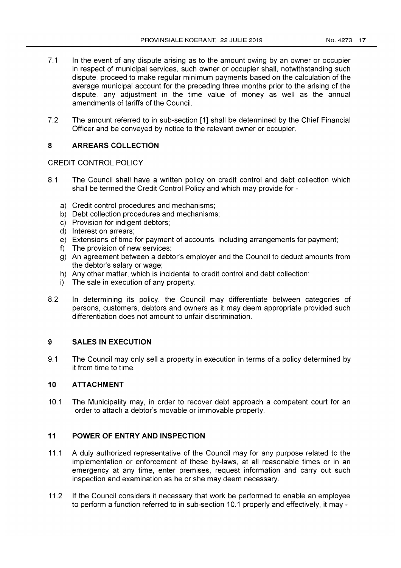- 7.1 In the event of any dispute arising as to the amount owing by an owner or occupier in respect of municipal services, such owner or occupier shall, notwithstanding such dispute, proceed to make regular minimum payments based on the calculation of the average municipal account for the preceding three months prior to the arising of the dispute, any adjustment in the time value of money as well as the annual amendments of tariffs of the Council.
- 7.2 The amount referred to in sub-section [1] shall be determined by the Chief Financial Officer and be conveyed by notice to the relevant owner or occupier.

# **8 ARREARS COLLECTION**

# CREDIT CONTROL POLICY

- 8.1 The Council shall have a written policy on credit control and debt collection which shall be termed the Credit Control Policy and which may provide for
	- a) Credit control procedures and mechanisms;
	- b) Debt collection procedures and mechanisms;
	- c) Provision for indigent debtors;
	- d) Interest on arrears;
	- e) Extensions of time for payment of accounts, including arrangements for payment;
	- f) The provision of new services;
	- g) An agreement between a debtor's employer and the Council to deduct amounts from the debtor's salary or wage;
	- h) Any other matter, which is incidental to credit control and debt collection;
	- i) The sale in execution of any property.
- 8.2 In determining its policy, the Council may differentiate between categories of persons, customers, debtors and owners as it may deem appropriate provided such differentiation does not amount to unfair discrimination.

# **9 SALES IN EXECUTION**

9.1 The Council may only sell a property in execution in terms of a policy determined by it from time to time.

# **10 ATTACHMENT**

10.1 The Municipality may, in order to recover debt approach a competent court for an order to attach a debtor's movable or immovable property.

# **11 POWER OF ENTRY AND INSPECTION**

- 11.1 A duly authorized representative of the Council may for any purpose related to the implementation or enforcement of these by-laws, at all reasonable times or in an emergency at any time, enter premises, request information and carry out such inspection and examination as he or she may deem necessary.
- 11.2 If the Council considers it necessary that work be performed to enable an employee to perform a function referred to in sub-section 10.1 properly and effectively, it may -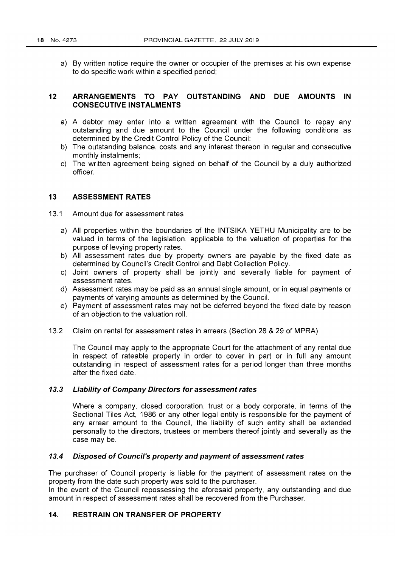a) By written notice require the owner or occupier of the premises at his own expense to do specific work within a specified period;

# 12 ARRANGEMENTS TO PAY OUTSTANDING AND DUE AMOUNTS IN CONSECUTIVE INSTALMENTS

- a) A debtor may enter into a written agreement with the Council to repay any outstanding and due amount to the Council under the following conditions as determined by the Credit Control Policy of the Council:
- b) The outstanding balance, costs and any interest thereon in regular and consecutive monthly instalments;
- c) The written agreement being signed on behalf of the Council by a duly authorized officer.

# 13 ASSESSMENT RATES

- 13.1 Amount due for assessment rates
	- a) All properties within the boundaries of the INTSIKA YETHU Municipality are to be valued in terms of the legislation, applicable to the valuation of properties for the purpose of levying property rates.
	- b) All assessment rates due by property owners are payable by the fixed date as determined by Council's Credit Control and Debt Collection Policy.
	- c) Joint owners of property shall be jointly and severally liable for payment of assessment rates.
	- d) Assessment rates may be paid as an annual single amount, or in equal payments or payments of varying amounts as determined by the Council.
	- e) Payment of assessment rates may not be deferred beyond the fixed date by reason of an objection to the valuation roll.
- 13.2 Claim on rental for assessment rates in arrears (Section 28 & 29 of MPRA)

The Council may apply to the appropriate Court for the attachment of any rental due in respect of rateable property in order to cover in part or in full any amount outstanding in respect of assessment rates for a period longer than three months after the fixed date.

# 13.3 Liability of Company Directors for assessment rates

Where a company, closed corporation, trust or a body corporate, in terms of the Sectional Tiles Act, 1986 or any other legal entity is responsible for the payment of any arrear amount to the Council, the liability of such entity shall be extended personally to the directors, trustees or members thereof jointly and severally as the case may be.

### 13.4 Disposed of Council's properly and payment of assessment rates

The purchaser of Council property is liable for the payment of assessment rates on the property from the date such property was sold to the purchaser.

In the event of the Council repossessing the aforesaid property, any outstanding and due amount in respect of assessment rates shall be recovered from the Purchaser.

# 14. RESTRAIN ON TRANSFER OF PROPERTY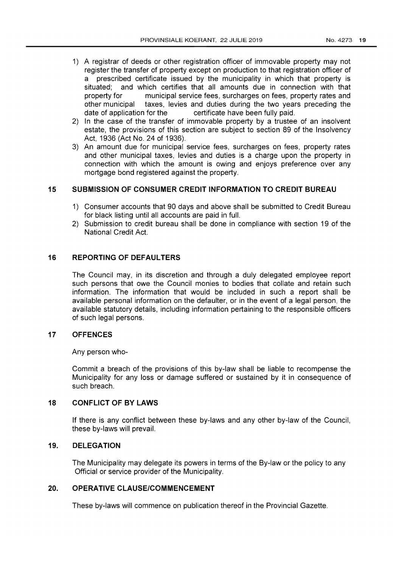- 1) A registrar of deeds or other registration officer of immovable property may not register the transfer of property except on production to that registration officer of a prescribed certificate issued by the municipality in which that property is situated; and which certifies that all amounts due in connection with that property for municipal service fees, surcharges on fees, property rates and other municipal taxes, levies and duties during the two years preceding the date of application for the certificate have been fully paid.
- 2) In the case of the transfer of immovable property by a trustee of an insolvent estate, the provisions of this section are subject to section 89 of the Insolvency Act, 1936 (Act No. 24 of 1936).
- 3) An amount due for municipal service fees, surcharges on fees, property rates and other municipal taxes, levies and duties is a charge upon the property in connection with which the amount is owing and enjoys preference over any mortgage bond registered against the property.

# **15 SUBMISSION OF CONSUMER CREDIT INFORMATION TO CREDIT BUREAU**

- 1) Consumer accounts that 90 days and above shall be submitted to Credit Bureau for black listing until all accounts are paid in full.
- 2) Submission to credit bureau shall be done in compliance with section 19 of the National Credit Act.

# **16 REPORTING OF DEFAULTERS**

The Council may, in its discretion and through a duly delegated employee report such persons that owe the Council monies to bodies that collate and retain such information. The information that would be included in such a report shall be available personal information on the defaulter, or in the event of a legal person, the available statutory details, including information pertaining to the responsible officers of such legal persons.

# **17 OFFENCES**

Any person who-

Commit a breach of the provisions of this by-law shall be liable to recompense the Municipality for any loss or damage suffered or sustained by it in consequence of such breach.

# **18 CONFLICT OF BY LAWS**

If there is any conflict between these by-laws and any other by-law of the Council, these by-laws will prevail.

# **19. DELEGATION**

The Municipality may delegate its powers in terms of the By-law or the policy to any Official or service provider of the Municipality.

# **20. OPERATIVE CLAUSE/COMMENCEMENT**

These by-laws will commence on publication thereof in the Provincial Gazette.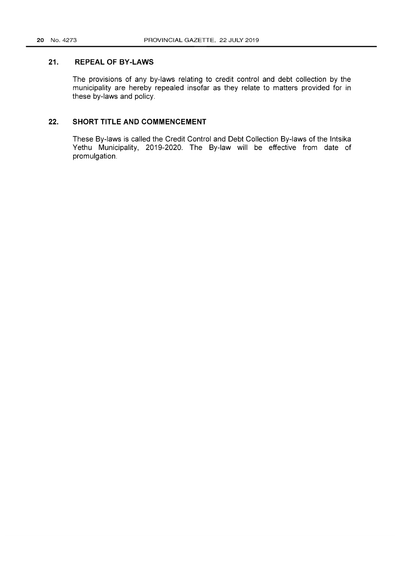# **21. REPEAL OF BY-LAWS**

The provisions of any by-laws relating to credit control and debt collection by the municipality are hereby repealed insofar as they relate to matters provided for in these by-laws and policy.

# **22. SHORT TITLE AND COMMENCEMENT**

These By-laws is called the Credit Control and Debt Collection By-laws of the Intsika Yethu Municipality, 2019-2020. The By-law will be effective from date of promulgation.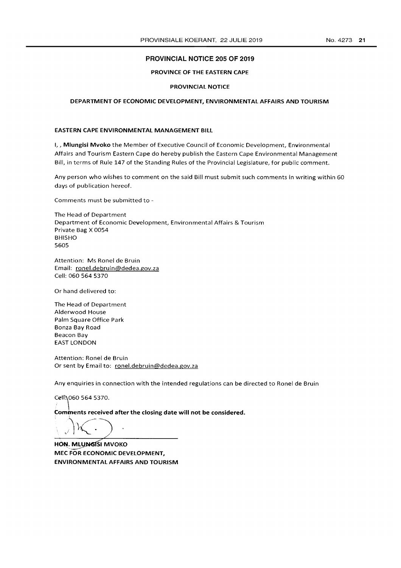### **PROVINCIAL NOTICE** 205 **OF** 2019

### PROVINCE OF THE EASTERN CAPE

#### PROVINCIAL NOTICE

### DEPARTMENT OF ECONOMIC DEVElOPMENT, ENVIRONMENTAL AFFAIRS AND TOURISM

### EASTERN CAPE ENVIRONMENTAL MANAGEMENT BILL

I, , Mlungisi Mvoko the Member of Executive Council of Economic Development, Environmental Affairs and Tourism Eastern Cape do hereby publish the Eastern Cape Environmental Management Bill, in terms of Rule 147 of the Standing Rules of the Provincial Legislature, for public comment.

Any person who wishes to comment on the said Bill must submit such comments in writing within 60 days of publication hereof.

Comments must be submitted to -

The Head of Department Department of Economic Development, Environmental Affairs & Tourism Private Bag X 0054 BHISHO 5605

Attention: Ms Ronel de Bruin Email: ronel.debruin@dedea.gov.za Cell: 060 564 5370

Or hand delivered to:

The Head of Department Alderwood House Palm Square Office Park Bonza Bay Road Beacon Bay EAST LONDON

Attention: Ronel de Bruin Or sent by Email to: ronel.debruin@dedea.gov.za

Any enquiries in connection with the intended regulations can be directed to Ronel de Bruin

Cell3060 564 5370.

Comments received after the closing date will not be considered.

,  $|\mathcal{K}|$  . ) <'

HON. MLUNGISI MVOKO MEC FOR ECONOMIC DEVELOPMENT, ENVIRONMENTAL AFFAIRS AND TOURISM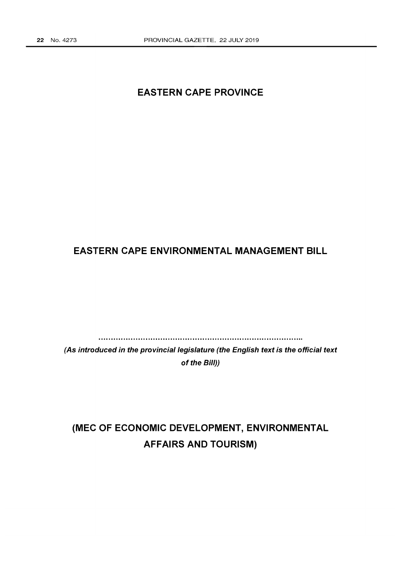# **EASTERN CAPE PROVINCE**

# **EASTERN CAPE ENVIRONMENTAL MANAGEMENT BILL**

(As introduced in the provincial legislature (the English text is the official text of the Bill))

# **(MEC OF ECONOMIC DEVELOPMENT, ENVIRONMENTAL AFFAIRS AND TOURISM)**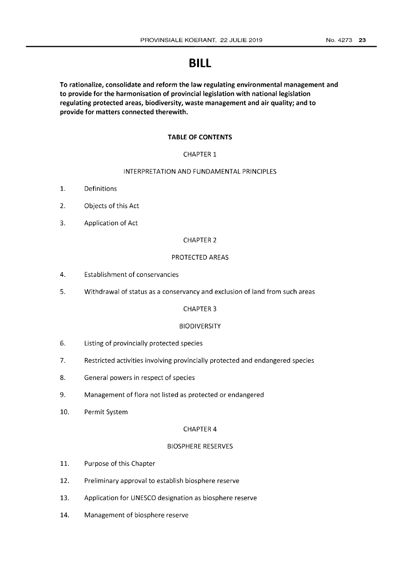# **BILL**

To rationalize, consolidate and reform the law regulating environmental management and to provide for the harmonisation of provincial legislation with national legislation regulating protected areas, biodiversity, waste management and air quality; and to provide for matters connected therewith.

# TABLE OF CONTENTS

# CHAPTER 1

# INTERPRETATION AND FUNDAMENTAL PRINCIPLES

- 1. Definitions
- 2. Objects of this Act
- 3. Application of Act

# CHAPTER 2

# PROTECTED AREAS

- 4. Establishment of conservancies
- 5. Withdrawal of status as a conservancy and exclusion of land from such areas

# CHAPTER 3

# BIODIVERSITY

- 6. Listing of provincially protected species
- 7. Restricted activities involving provincially protected and endangered species
- 8. General powers in respect of species
- 9. Management of flora not listed as protected or endangered
- 10. Permit System

### CHAPTER 4

# BIOSPHERE RESERVES

- 11. Purpose of this Chapter
- 12. Preliminary approval to establish biosphere reserve
- 13. Application for UNESCO designation as biosphere reserve
- 14. Management of biosphere reserve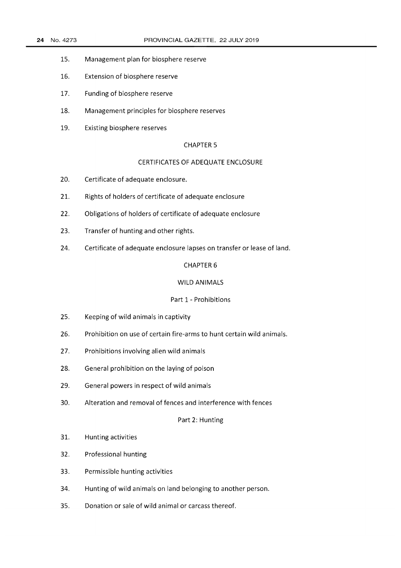- 15. Management plan for biosphere reserve
- 16. Extension of biosphere reserve
- 17. Funding of biosphere reserve
- 18. Management principles for biosphere reserves
- 19. Existing biosphere reserves

### CHAPTER 5

### CERTIFICATES OF ADEQUATE ENCLOSURE

- 20. Certificate of adequate enclosure.
- 21. Rights of holders of certificate of adequate enclosure
- 22. Obligations of holders of certificate of adequate enclosure
- 23. Transfer of hunting and other rights.
- 24. Certificate of adequate enclosure lapses on transfer or lease of land.

### CHAPTER 6

### WILD ANIMALS

### Part 1 - Prohibitions

- 25. Keeping of wild animals in captivity
- 26. Prohibition on use of certain fire-arms to hunt certain wild animals.
- 27. Prohibitions involving alien wild animals
- 28. General prohibition on the laying of poison
- 29. General powers in respect of wild animals
- 30. Alteration and removal of fences and interference with fences

### Part 2: Hunting

- 31. Hunting activities
- 32. Professional hunting
- 33. Permissible hunting activities
- 34. Hunting of wild animals on land belonging to another person.
- 35. Donation or sale of wild animal or carcass thereof.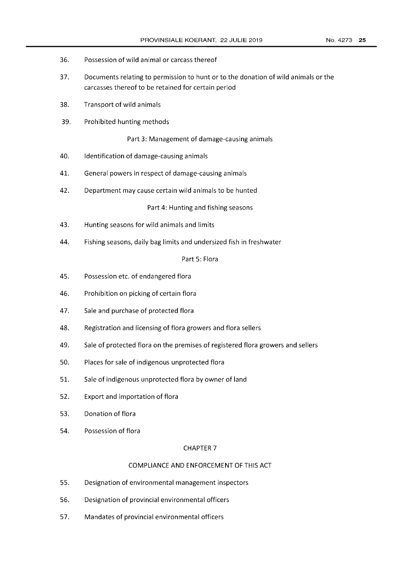- 36. Possession of wild animal or carcass thereof
- 37. Documents relating to permission to hunt or to the donation of wild animals or the carcasses thereof to be retained for certain period
- 38. Transport of wild animals
- 39. Prohibited hunting methods

Part 3: Management of damage-causing animals

- 40. Identification of damage-causing animals
- 41. General powers in respect of damage-causing animals
- 42. Department may cause certain wild animals to be hunted

Part 4: Hunting and fishing seasons

- 43. Hunting seasons for wild animals and limits
- 44. Fishing seasons, daily bag limits and undersized fish in freshwater

Part 5: Flora

- 45. Possession etc. of endangered flora
- 46. Prohibition on picking of certain flora
- 47. Sale and purchase of protected flora
- 48. Registration and licensing of flora growers and flora sellers
- 49. Sale of protected flora on the premises of registered flora growers and sellers
- 50. Places for sale of indigenous unprotected flora
- 51. Sale of indigenous unprotected flora by owner of land
- 52. Export and importation of flora
- 53. Donation of flora
- 54. Possession of flora

## CHAPTER 7

### COMPLIANCE AND ENFORCEMENT OF THIS ACT

- 55. Designation of environmental management inspectors
- 56. Designation of provincial environmental officers
- 57. Mandates of provincial environmental officers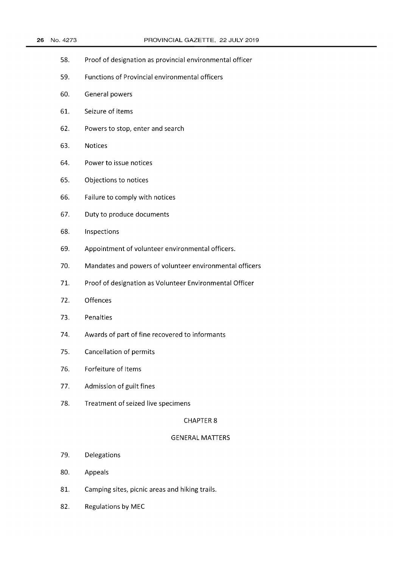- 58. Proof of designation as provincial environmental officer
- 59. Functions of Provincial environmental officers
- 60. General powers
- 61. Seizure of items
- 62. Powers to stop, enter and search
- 63. Notices
- 64. Power to issue notices
- 65. Objections to notices
- 66. Failure to comply with notices
- 67. Duty to produce documents
- 68. Inspections
- 69. Appointment of volunteer environmental officers.
- 70. Mandates and powers of volunteer environmental officers
- 71. Proof of designation as Volunteer Environmental Officer
- 72. **Offences**
- 73. Penalties
- 74. Awards of part of fine recovered to informants
- 75. Cancellation of permits
- 76. Forfeiture of Items
- 77. Admission of guilt fines
- 78. Treatment of seized live specimens

### CHAPTER 8

### **GENERAL MATTERS**

- 79. Delegations
- 80. Appeals
- 81. Camping sites, picnic areas and hiking trails.
- 82. Regulations by MEC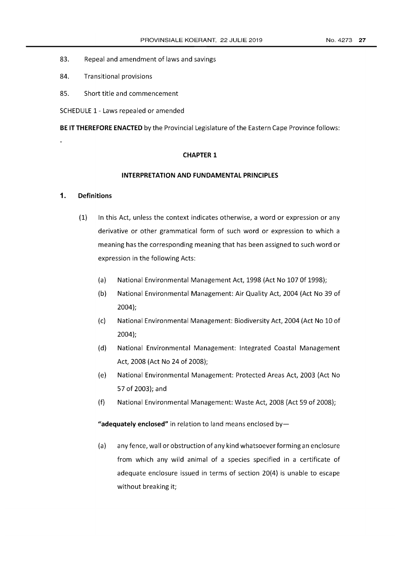- 83. Repeal and amendment of laws and savings
- 84. Transitional provisions
- 85. Short title and commencement

SCHEDULE 1- Laws repealed or amended

**BE IT THEREFORE ENACTED** by the Provincial Legislature of the Eastern Cape Province follows:

### **CHAPTER 1**

### **INTERPRETATION AND FUNDAMENTAL PRINCIPLES**

### **1. Definitions**

- (1) In this Act, unless the context indicates otherwise, a word or expression or any derivative or other grammatical form of such word or expression to which a meaning has the corresponding meaning that has been assigned to such word or expression in the following Acts:
	- (a) National Environmental Management Act, 1998 (Act No 107 Of 1998);
	- (b) National Environmental Management: Air Quality Act, 2004 (Act No 39 of 2004);
	- (c) National Environmental Management: Biodiversity Act, 2004 (Act No 10 of 2004);
	- (d) National Environmental Management: Integrated Coastal Management Act, 2008 (Act No 24 of 2008);
	- (e) National Environmental Management: Protected Areas Act, 2003 (Act No 57 of 2003); and
	- (f) National Environmental Management: Waste Act, 2008 (Act 59 of 2008);

"adequately enclosed" in relation to land means enclosed by-

(a) any fence, wall or obstruction of any kind whatsoever forming an enclosure from which any wild animal of a species specified in a certificate of adequate enclosure issued in terms of section 20(4) is unable to escape without breaking it;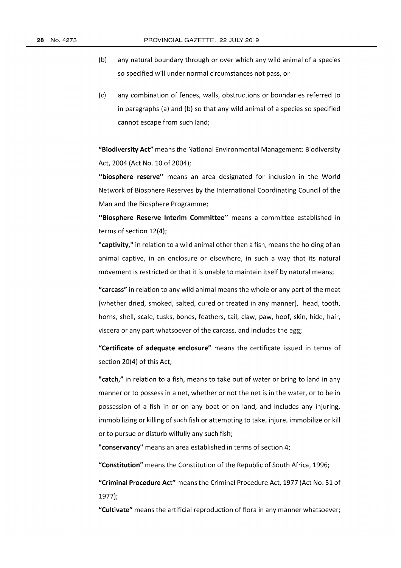- (b) any natural boundary through or over which any wild animal of a species so specified will under normal circumstances not pass, or
- (c) any combination of fences, walls, obstructions or boundaries referred to in paragraphs (a) and (b) so that any wild animal of a species so specified cannot escape from such land;

**"Biodiversity Act"** means the National Environmental Management: Biodiversity Act, 2004 (Act No. 10 of 2004);

**"biosphere reserve"** means an area designated for inclusion in the World Network of Biosphere Reserves by the International Coordinating Council of the Man and the Biosphere Programme;

**"Biosphere Reserve Interim Committee"** means a committee established in terms of section 12(4);

**"captivity,"** in relation to a wild animal other than a fish, means the holding of an animal captive, in an enclosure or elsewhere, in such a way that its natural movement is restricted or that it is unable to maintain itself by natural means;

**"carcass"** in relation to any wild animal means the whole or any part of the meat (whether dried, smoked, salted, cured or treated in any manner), head, tooth, horns, shell, scale, tusks, bones, feathers, tail, claw, paw, hoof, skin, hide, hair, viscera or any part whatsoever of the carcass, and includes the egg;

**"Certificate of adequate enclosure"** means the certificate issued in terms of section 20(4) of this Act;

**"catch,"** in relation to a fish, means to take out of water or bring to land in any manner or to possess in a net, whether or not the net is in the water, or to be in possession of a fish in or on any boat or on land, and includes any injuring, immobilizing or killing of such fish or attempting to take, injure, immobilize or kill or to pursue or disturb wilfully any such fish;

**"conservancy"** means an area established in terms of section 4;

**"Constitution"** means the Constitution of the Republic of South Africa, 1996;

**"Criminal Procedure Act"** means the Criminal Procedure Act, 1977 (Act No. 51 of 1977);

**"Cultivate"** means the artificial reproduction of flora in any manner whatsoever;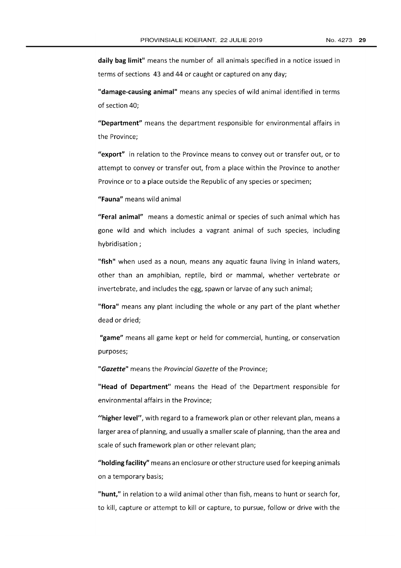daily bag limit" means the number of all animals specified in a notice issued in terms of sections 43 and 44 or caught or captured on any day;

"damage-causing animal" means any species of wild animal identified in terms of section 40;

"Department" means the department responsible for environmental affairs in the Province;

"export" in relation to the Province means to convey out or transfer out, or to attempt to convey or transfer out, from a place within the Province to another Province or to a place outside the Republic of any species or specimen;

"Fauna" means wild animal

"Feral animal" means a domestic animal or species of such animal which has gone wild and which includes a vagrant animal of such species, including hybridisation ;

"fish" when used as a noun, means any aquatic fauna living in inland waters, other than an amphibian, reptile, bird or mammal, whether vertebrate or invertebrate, and includes the egg, spawn or larvae of any such animal;

"flora" means any plant including the whole or any part of the plant whether dead or dried;

"game" means all game kept or held for commercial, hunting, or conservation purposes;

"Gazette" means the Provincial Gazette of the Province;

"Head of Department" means the Head of the Department responsible for environmental affairs in the Province;

"higher level", with regard to a framework plan or other relevant plan, means a larger area of planning, and usually a smaller scale of planning, than the area and scale of such framework plan or other relevant plan;

"holding facility" means an enclosure or other structure used for keeping animals on a temporary basis;

"hunt," in relation to a wild animal other than fish, means to hunt or search for, to kill, capture or attempt to kill or capture, to pursue, follow or drive with the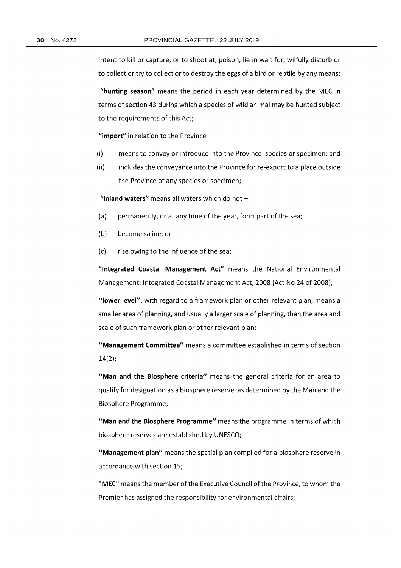intent to kill or capture, or to shoot at, poison, lie in wait for, wilfully disturb or to collect or try to collect or to destroy the eggs of a bird or reptile by any means;

**"hunting season"** means the period in each year determined by the MEC in terms of section 43 during which a species of wild animal may be hunted subject to the requirements of this Act;

**"import"** in relation to the Province -

- (i) means to convey or introduce into the Province species or specimen; and
- (ii) includes the conveyance into the Province for re-export to a place outside the Province of any species or specimen;

**"inland waters"** means all waters which do not-

- (a) permanently, or at any time of the year, form part of the sea;
- (b) become saline; or
- (c) rise owing to the influence of the sea;

**"Integrated Coastal Management Act"** means the National Environmental Management: Integrated Coastal Management Act, 2008 (Act No 24 of 2008);

**"lower level",** with regard to a framework plan or other relevant plan, means a smaller area of planning, and usually a larger scale of planning, than the area and scale of such framework plan or other relevant plan;

**"Management Committee"** means a committee established in terms of section 14(2);

**"Man and the Biosphere criteria"** means the general criteria for an area to qualify for designation as a biosphere reserve, as determined by the Man and the Biosphere Programme;

**"Man and the Biosphere Programme"** means the programme in terms of which biosphere reserves are established by UNESCO;

**"Management plan"** means the spatial plan compiled for a biosphere reserve in accordance with section 15;

"MEC" means the member of the Executive Council of the Province, to whom the Premier has assigned the responsibility for environmental affairs;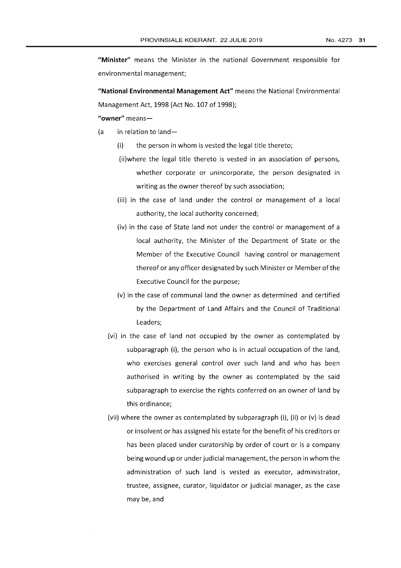**"Minister"** means the Minister in the national Government responsible for environmental management;

**"National Environmental Management Act"** means the National Environmental Management Act, 1998 (Act No. 107 of 1998);

### **"owner"** means-

- $(a$  in relation to land-
	- (i) the person in whom is vested the legal title thereto;
	- (ii)where the legal title thereto is vested in an association of persons, whether corporate or unincorporate, the person designated in writing as the owner thereof by such association;
	- (iii) in the case of land under the control or management of a local authority, the local authority concerned;
	- (iv) in the case of State land not under the control or management of a local authority, the Minister of the Department of State or the Member of the Executive Council having control or management thereof or any officer designated by such Minister or Member ofthe Executive Council for the purpose;
	- (v) in the case of communal land the owner as determined and certified by the Department of Land Affairs and the Council of Traditional Leaders;
	- (vi) in the case of land not occupied by the owner as contemplated by subparagraph (i), the person who is in actual occupation of the land, who exercises general control over such land and who has been authorised in writing by the owner as contemplated by the said subparagraph to exercise the rights conferred on an owner of land by this ordinance;
	- (vii) where the owner as contemplated by subparagraph (i), (ii) or (v) is dead or insolvent or has assigned his estate for the benefit of his creditors or has been placed under curatorship by order of court or is a company being wound up or under judicial management, the person in whom the administration of such land is vested as executor, administrator, trustee, assignee, curator, liquidator or judicial manager, as the case may be, and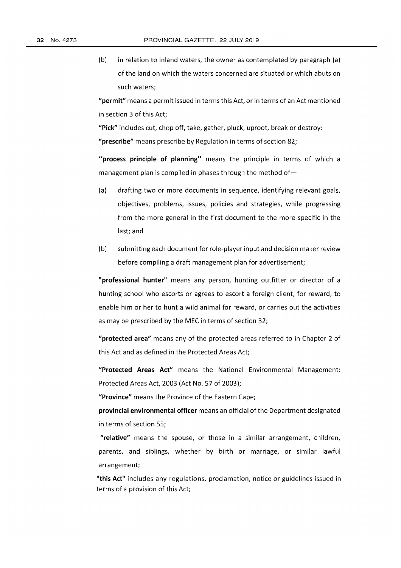(b) in relation to inland waters, the owner as contemplated by paragraph (a) of the land on which the waters concerned are situated or which abuts on such waters;

**"permit"** means a permit issued in terms this Act, or in terms of an Act mentioned in section 3 of this Act;

**"Pick"** includes cut, chop off, take, gather, pluck, uproot, break or destroy: **"prescribe"** means prescribe by Regulation in terms of section 82;

**"process principle of planning"** means the principle in terms of which a management plan is compiled in phases through the method of-

- (a) drafting two or more documents in sequence, identifying relevant goals, objectives, problems, issues, policies and strategies, while progressing from the more general in the first document to the more specific in the last; and
- (b) submitting each document for role-player input and decision maker review before compiling a draft management plan for advertisement;

**"professional hunter"** means any person, hunting outfitter or director of a hunting school who escorts or agrees to escort a foreign client, for reward, to enable him or her to hunt a wild animal for reward, or carries out the activities as may be prescribed by the MEC in terms of section 32;

**"protected area"** means any of the protected areas referred to in Chapter 2 of this Act and as defined in the Protected Areas Act;

**"Protected Areas Act"** means the National Environmental Management: Protected Areas Act, 2003 (Act No. 57 of 2003);

**"Province"** means the Province of the Eastern Cape;

**provincial environmental officer** means an official ofthe Department designated in terms of section 55;

**"relative"** means the spouse, or those in a similar arrangement, children, parents, and siblings, whether by birth or marriage, or similar lawful arrangement;

**"this Act"** includes any regulations, proclamation, notice or guidelines issued in terms of a provision of this Act;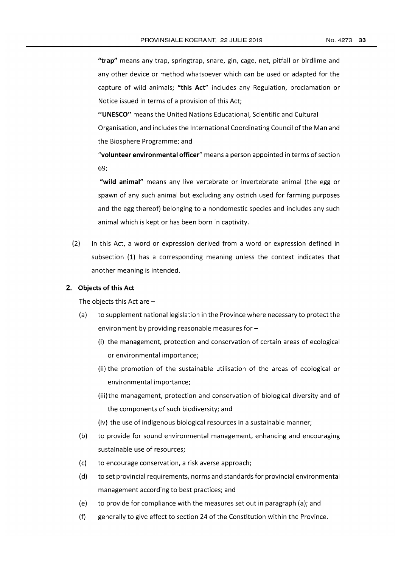**"trap"** means any trap, springtrap, snare, gin, cage, net, pitfall or birdlime and any other device or method whatsoever which can be used or adapted for the capture of wild animals; **"this Act"** includes any Regulation, proclamation or Notice issued in terms of a provision of this Act;

**"UNESCO"** means the United Nations Educational, Scientific and Cultural Organisation, and includes the International Coordinating Council of the Man and the Biosphere Programme; and

**"volunteer environmental officer"** means a person appointed in terms of section 69;

**"wild animal"** means any live vertebrate or invertebrate animal (the egg or spawn of any such animal but excluding any ostrich used for farming purposes and the egg thereof) belonging to a nondomestic species and includes any such animal which is kept or has been born in captivity.

(2) In this Act, a word or expression derived from a word or expression defined in subsection (1) has a corresponding meaning unless the context indicates that another meaning is intended.

### **2. Objects of this Act**

The objects this Act are  $-$ 

- (a) to supplement national legislation in the Province where necessary to protect the environment by providing reasonable measures for  $-$ 
	- (i) the management, protection and conservation of certain areas of ecological or environmental importance;
	- (ii) the promotion of the sustainable utilisation of the areas of ecological or environmental importance;
	- (iii)the management, protection and conservation of biological diversity and of the components of such biodiversity; and
	- (iv) the use of indigenous biological resources in a sustainable manner;
- (b) to provide for sound environmental management, enhancing and encouraging sustainable use of resources;
- (c) to encourage conservation, a risk averse approach;
- (d) to set provincial requirements, norms and standards for provincial environmental management according to best practices; and
- (e) to provide for compliance with the measures set out in paragraph (a); and
- (f) generally to give effect to section 24 of the Constitution within the Province.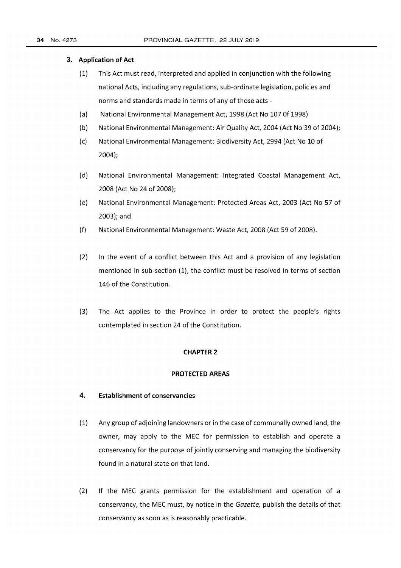### **3. Application of Act**

- (1) This Act must read, interpreted and applied in conjunction with the following national Acts, including any regulations, sub-ordinate legislation, policies and norms and standards made in terms of any of those acts -
- (a) National Environmental Management Act, 1998 (Act No 107 Of 1998)
- (b) National Environmental Management: Air Quality Act, 2004 (Act No 39 of 2004);
- (c) National Environmental Management: Biodiversity Act, 2994 (Act No 10 of 2004);
- (d) National Environmental Management: Integrated Coastal Management Act, 2008 (Act No 24 of 2008);
- (e) National Environmental Management: Protected Areas Act, 2003 (Act No 57 of 2003); and
- (f) National Environmental Management: Waste Act, 2008 (Act 59 of 2008).
- (2) In the event of a conflict between this Act and a provision of any legislation mentioned in sub-section (1), the conflict must be resolved in terms of section 146 of the Constitution.
- (3) The Act applies to the Province in order to protect the people's rights contemplated in section 24 of the Constitution.

### **CHAPTER 2**

### **PROTECTED AREAS**

# **4. Establishment of conservancies**

- (1) Any group of adjoining landowners or in the case of communally owned land, the owner, may apply to the MEC for permission to establish and operate a conservancy for the purpose of jointly conserving and managing the biodiversity found in a natural state on that land.
- (2) If the MEC grants permission for the establishment and operation of a conservancy, the MEC must, by notice in the *Gazette,* publish the details of that conservancy as soon as is reasonably practicable.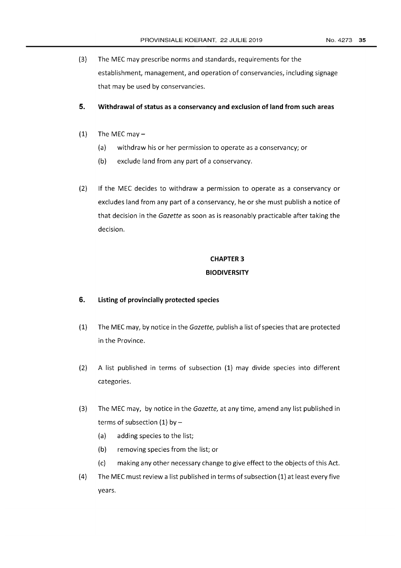- (3) The MEC may prescribe norms and standards, requirements for the establishment, management, and operation of conservancies, including signage that may be used by conservancies.
- **5. Withdrawal of status as a conservancy and exclusion of land from such areas**
- $(1)$  The MEC may -
	- (a) withdraw his or her permission to operate as a conservancy; or
	- (b) exclude land from any part of a conservancy.
- (2) If the MEC decides to withdraw a permission to operate as a conservancy or excludes land from any part of a conservancy, he or she must publish a notice of that decision in the *Gazette* as soon as is reasonably practicable after taking the decision.

### **CHAPTER 3**

### **BIODIVERSITY**

# **6. listing of provincially protected species**

- (1) The MEC may, by notice in the *Gazette,* publish a list of species that are protected in the Province.
- (2) A list published in terms of subsection (1) may divide species into different categories.
- (3) The MEC may, by notice in the *Gazette,* at any time, amend any list published in terms of subsection (1) by  $-$ 
	- (a) adding species to the list;
	- (b) removing species from the list; or
	- (c) making any other necessary change to give effect to the objects of this Act.
- (4) The MEC must review a list published in terms of subsection (1) at least every five years.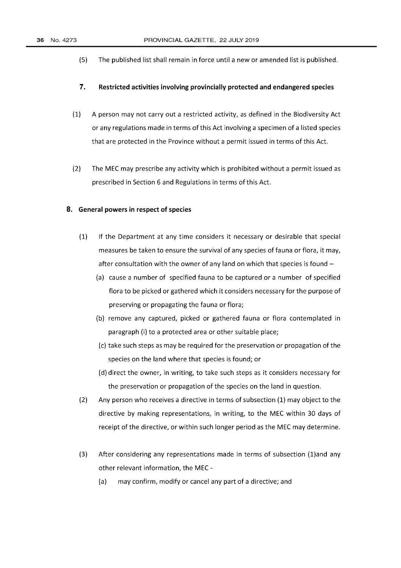(5) The published list shall remain in force until a new or amended list is published.

# **7. Restricted activities involving provincially protected and endangered species**

- (1) A person may not carry out a restricted activity, as defined in the Biodiversity Act or any regulations made in terms of this Act involving a specimen of a listed species that are protected in the Province without a permit issued in terms of this Act.
- (2) The MEC may prescribe any activity which is prohibited without a permit issued as prescribed in Section 6 and Regulations in terms of this Act.

### **8. General powers in respect of species**

- (1) If the Department at any time considers it necessary or desirable that special measures be taken to ensure the survival of any species of fauna or flora, it may, after consultation with the owner of any land on which that species is found  $-$ 
	- (a) cause a number of specified fauna to be captured or a number of specified flora to be picked or gathered which it considers necessary for the purpose of preserving or propagating the fauna or flora;
	- (b) remove any captured, picked or gathered fauna or flora contemplated in paragraph (i) to a protected area or other suitable place;
	- (c) take such steps as may be required for the preservation or propagation of the species on the land where that species is found; or
	- (d) direct the owner, in writing, to take such steps as it considers necessary for the preservation or propagation of the species on the land in question.
- (2) Any person who receives a directive in terms of subsection (1) may object to the directive by making representations, in writing, to the MEC within 30 days of receipt of the directive, or within such longer period as the MEC may determine.
- (3) After considering any representations made in terms of subsection (1)and any other relevant information, the MEC-
	- (a) may confirm, modify or cancel any part of a directive; and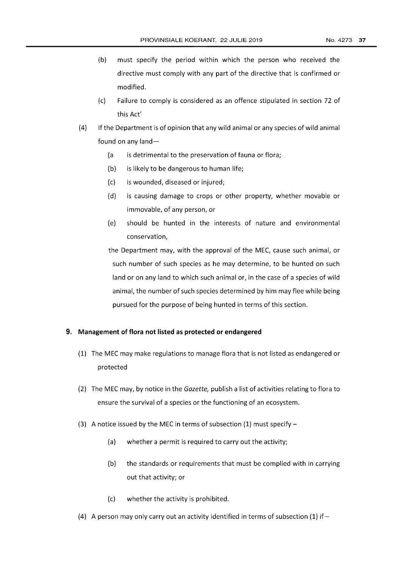- (b) must specify the period within which the person who received the directive must comply with any part of the directive that is confirmed or modified.
- (c) Failure to comply is considered as an offence stipulated in section 72 of this Act'
- (4) If the Department is of opinion that any wild animal or any species of wild animal found on any land $-$ 
	- (a is detrimental to the preservation of fauna or flora;
	- (b) is likely to be dangerous to human life;
	- (c) is wounded, diseased or injured;
	- (d) is causing damage to crops or other property, whether movable or immovable, of any person, or
	- (e) should be hunted in the interests of nature and environmental conservation,

the Department may, with the approval of the MEC, cause such animal, or such number of such species as he may determine, to be hunted on such land or on any land to which such animal or, in the case of a species of wild animal, the number of such species determined by him may flee while being pursued for the purpose of being hunted in terms of this section.

# **9. Management of flora not listed as protected or endangered**

- (1) The MEC may make regulations to manage flora that is not listed as endangered or protected
- (2) The MEC may, by notice in the *Gazette,* publish a list of activities relating to flora to ensure the survival of a species or the functioning of an ecosystem.
- (3) A notice issued by the MEC in terms of subsection (1) must specify  $-$ 
	- (a) whether a permit is required to carry out the activity;
	- (b) the standards or requirements that must be complied with in carrying out that activity; or
	- (c) whether the activity is prohibited.
- (4) A person may only carry out an activity identified in terms of subsection (1) if  $-$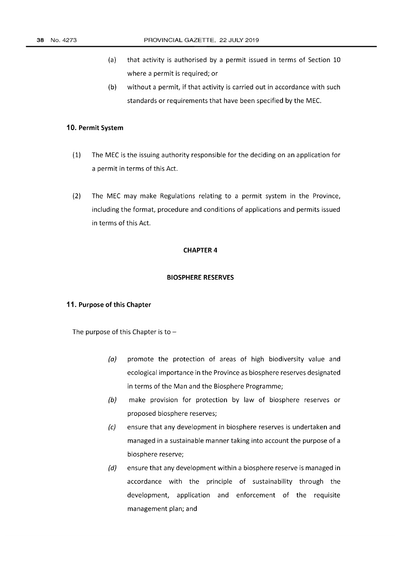- (a) that activity is authorised by a permit issued in terms of Section 10 where a permit is required; or
- (b) without a permit, if that activity is carried out in accordance with such standards or requirements that have been specified by the MEC.

# **10. Permit System**

- (1) The MEC is the issuing authority responsible for the deciding on an application for a permit in terms of this Act.
- (2) The MEC may make Regulations relating to a permit system in the Province, including the format, procedure and conditions of applications and permits issued in terms of this Act.

### **CHAPTER 4**

#### **BIOSPHERE RESERVES**

# **11. Purpose of this Chapter**

The purpose of this Chapter is to  $-$ 

- (a) promote the protection of areas of high biodiversity value and ecological importance in the Province as biosphere reserves designated in terms of the Man and the Biosphere Programme;
- (b) make provision for protection by law of biosphere reserves or proposed biosphere reserves;
- (c) ensure that any development in biosphere reserves is undertaken and managed in a sustainable manner taking into account the purpose of a biosphere reserve;
- (d) ensure that any development within a biosphere reserve is managed in accordance with the principle of sustainability through the development, application and enforcement of the requisite management plan; and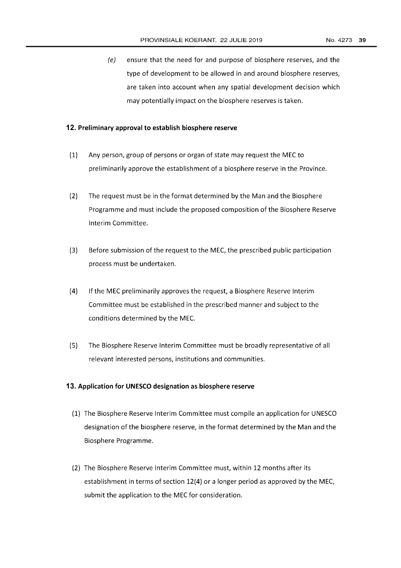$(e)$  ensure that the need for and purpose of biosphere reserves, and the type of development to be allowed in and around biosphere reserves, are taken into account when any spatial development decision which may potentially impact on the biosphere reserves is taken.

# **12. Preliminary approval to establish biosphere reserve**

- (1) Any person, group of persons or organ of state may request the MEC to preliminarily approve the establishment of a biosphere reserve in the Province.
- (2) The request must be in the format determined by the Man and the Biosphere Programme and must include the proposed composition of the Biosphere Reserve Interim Committee.
- (3) Before submission ofthe request to the MEC, the prescribed public participation process must be undertaken.
- (4) Ifthe MEC preliminarily approves the request, a Biosphere Reserve Interim Committee must be established in the prescribed manner and subject to the conditions determined by the MEC.
- (5) The Biosphere Reserve Interim Committee must be broadly representative of all relevant interested persons, institutions and communities.

## **13. Application for UNESCO designation as biosphere reserve**

- (1) The Biosphere Reserve Interim Committee must compile an application for UNESCO designation of the biosphere reserve, in the format determined by the Man and the Biosphere Programme.
- (2) The Biosphere Reserve Interim Committee must, within 12 months after its establishment in terms of section 12(4) or a longer period as approved by the MEC, submit the application to the MEC for consideration.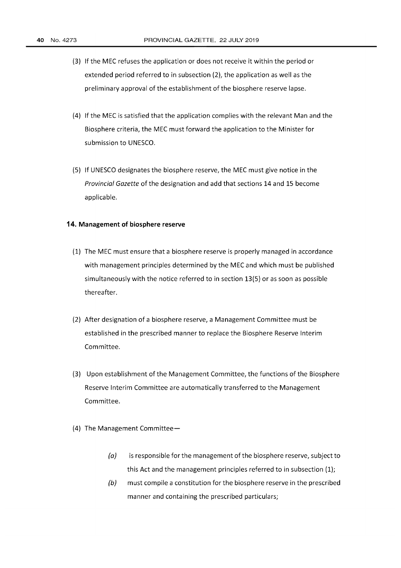- (3) If the MEC refuses the application or does not receive it within the period or extended period referred to in subsection (2), the application as well as the preliminary approval of the establishment of the biosphere reserve lapse.
- (4) If the MEC is satisfied that the application complies with the relevant Man and the Biosphere criteria, the MEC must forward the application to the Minister for submission to UNESCO.
- (5) If UNESCO designates the biosphere reserve, the MEC must give notice in the *Provincial Gazette* of the designation and add that sections 14 and 15 become applicable.

### **14. Management of biosphere reserve**

- (1) The MEC must ensure that a biosphere reserve is properly managed in accordance with management principles determined by the MEC and which must be published simultaneously with the notice referred to in section 13(5) or as soon as possible thereafter.
- (2) After designation of a biosphere reserve, a Management Committee must be established in the prescribed manner to replace the Biosphere Reserve Interim Committee.
- (3) Upon establishment of the Management Committee, the functions of the Biosphere Reserve Interim Committee are automatically transferred to the Management Committee.
- (4) The Management Committee $-$ 
	- $(a)$  is responsible for the management of the biosphere reserve, subject to this Act and the management principles referred to in subsection (1);
	- $(b)$  must compile a constitution for the biosphere reserve in the prescribed manner and containing the prescribed particulars;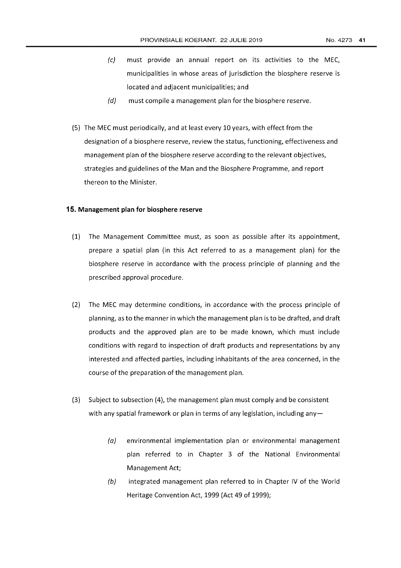- (c) must provide an annual report on its activities to the MEC, municipalities in whose areas of jurisdiction the biosphere reserve is located and adjacent municipalities; and
- (d) must compile a management plan for the biosphere reserve.
- (5) The MEC must periodically, and at least every 10 years, with effect from the designation of a biosphere reserve, review the status, functioning, effectiveness and management plan of the biosphere reserve according to the relevant objectives, strategies and guidelines of the Man and the Biosphere Programme, and report thereon to the Minister.

#### **15. Management plan for biosphere reserve**

- (1) The Management Committee must, as soon as possible after its appointment, prepare a spatial plan (in this Act referred to as a management plan) for the biosphere reserve in accordance with the process principle of planning and the prescribed approval procedure.
- (2) The MEC may determine conditions, in accordance with the process principle of planning, as to the manner in which the management plan is to be drafted, and draft products and the approved plan are to be made known, which must include conditions with regard to inspection of draft products and representations by any interested and affected parties, including inhabitants of the area concerned, in the course of the preparation of the management plan.
- (3) Subject to subsection (4), the management plan must comply and be consistent with any spatial framework or plan in terms of any legislation, including any-
	- (a) environmental implementation plan or environmental management plan referred to in Chapter 3 of the National Environmental Management Act;
	- (b) integrated management plan referred to in Chapter IV of the World Heritage Convention Act, 1999 (Act 49 of 1999);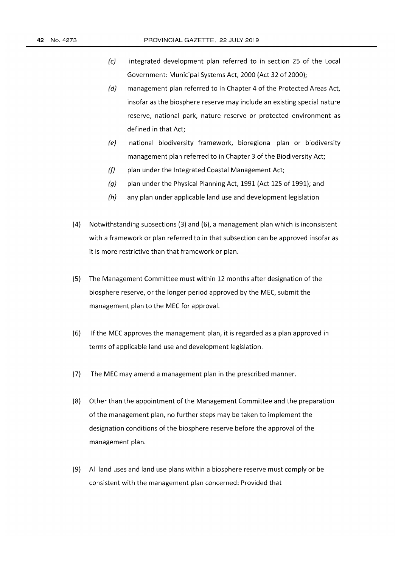- (c) integrated development plan referred to in section 25 of the Local Government: Municipal Systems Act, 2000 (Act 32 of 2000);
- (d) management plan referred to in Chapter 4 of the Protected Areas Act, insofar as the biosphere reserve may include an existing special nature reserve, national park, nature reserve or protected environment as defined in that Act;
- (e) national biodiversity framework, bioregional plan or biodiversity management plan referred to in Chapter 3 of the Biodiversity Act;
- $(f)$  plan under the Integrated Coastal Management Act;
- (g) plan under the Physical Planning Act, 1991 (Act 125 of 1991); and
- $(h)$  any plan under applicable land use and development legislation
- (4) Notwithstanding subsections (3) and (6), a management plan which is inconsistent with a framework or plan referred to in that subsection can be approved insofar as it is more restrictive than that framework or plan.
- (5) The Management Committee must within 12 months after designation of the biosphere reserve, or the longer period approved by the MEC, submit the management plan to the MEC for approval.
- (6) Ifthe MEC approves the management plan, it is regarded as a plan approved in terms of applicable land use and development legislation.
- (7) The MEC may amend a management plan in the prescribed manner.
- (8) Other than the appointment of the Management Committee and the preparation of the management plan, no further steps may be taken to implement the designation conditions of the biosphere reserve before the approval of the management plan.
- (9) All land uses and land use plans within a biosphere reserve must comply or be consistent with the management plan concerned: Provided that-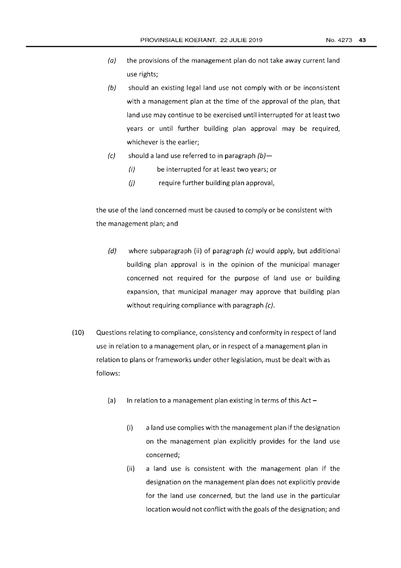- $(a)$  the provisions of the management plan do not take away current land use rights;
- (b) should an existing legal land use not comply with or be inconsistent with a management plan at the time of the approval of the plan, that land use may continue to be exercised until interrupted for at least two years or until further building plan approval may be required, whichever is the earlier;
- (c) should a land use referred to in paragraph  $(b)$  -
	- *(i)* be interrupted for at least two years; or
	- $(i)$  require further building plan approval,

the use of the land concerned must be caused to comply or be consistent with the management plan; and

- (d) where subparagraph (ii) of paragraph  $(c)$  would apply, but additional building plan approval is in the opinion of the municipal manager concerned not required for the purpose of land use or building expansion, that municipal manager may approve that building plan without requiring compliance with paragraph  $(c)$ .
- (10) Questions relating to compliance, consistency and conformity in respect of land use in relation to a management plan, or in respect of a management plan in relation to plans or frameworks under other legislation, must be dealt with as follows:
	- (a) **In** relation to a management plan existing in terms of this Act-
		- (i) a land use complies with the management plan if the designation on the management plan explicitly provides for the land use concerned;
		- (ii) a land use is consistent with the management plan if the designation on the management plan does not explicitly provide for the land use concerned, but the land use in the particular location would not conflict with the goals of the designation; and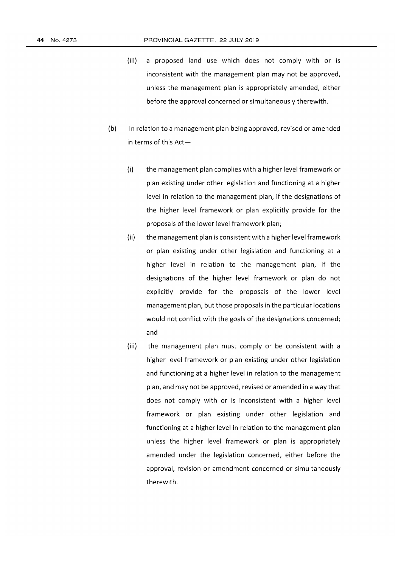- (iii) a proposed land use which does not comply with or is inconsistent with the management plan may not be approved, unless the management plan is appropriately amended, either before the approval concerned or simultaneously therewith.
- (b) In relation to a management plan being approved, revised or amended in terms of this  $Act-$ 
	- (i) the management plan complies with a higher level framework or plan existing under other legislation and functioning at a higher level in relation to the management plan, if the designations of the higher level framework or plan explicitly provide for the proposals of the lower level framework plan;
	- (ii) the management plan is consistent with a higher level framework or plan existing under other legislation and functioning at a higher level in relation to the management plan, if the designations of the higher level framework or plan do not explicitly provide for the proposals of the lower level management plan, but those proposals in the particular locations would not conflict with the goals of the designations concerned; and
	- (iii) the management plan must comply or be consistent with a higher level framework or plan existing under other legislation and functioning at a higher level in relation to the management plan, and may not be approved, revised or amended in a way that does not comply with or is inconsistent with a higher level framework or plan existing under other legislation and functioning at a higher level in relation to the management plan unless the higher level framework or plan is appropriately amended under the legislation concerned, either before the approval, revision or amendment concerned or simultaneously therewith.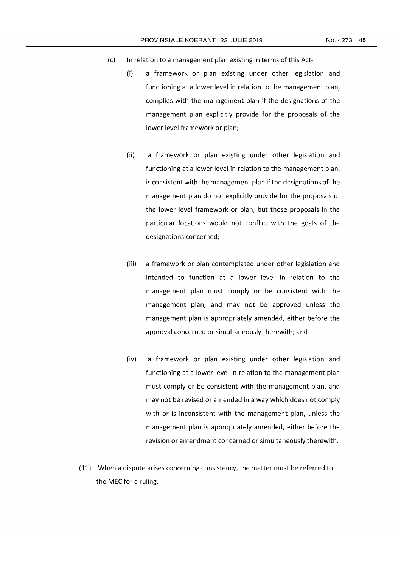- $(c)$  In relation to a management plan existing in terms of this Act-
	- (i) a framework or plan existing under other legislation and functioning at a lower level in relation to the management plan, complies with the management plan if the designations of the management plan explicitly provide for the proposals of the lower level framework or plan;
	- (ii) a framework or plan existing under other legislation and functioning at a lower level in relation to the management plan, is consistent with the management plan if the designations of the management plan do not explicitly provide for the proposals of the lower level framework or plan, but those proposals in the particular locations would not conflict with the goals of the designations concerned;
	- (iii) a framework or plan contemplated under other legislation and intended to function at a lower level in relation to the management plan must comply or be consistent with the management plan, and may not be approved unless the management plan is appropriately amended, either before the approval concerned or simultaneously therewith; and
	- (iv) a framework or plan existing under other legislation and functioning at a lower level in relation to the management plan must comply or be consistent with the management plan, and may not be revised or amended in a way which does not comply with or is inconsistent with the management plan, unless the management plan is appropriately amended, either before the revision or amendment concerned or simultaneously therewith.
- (11) When a dispute arises concerning consistency, the matter must be referred to the MEC for a ruling.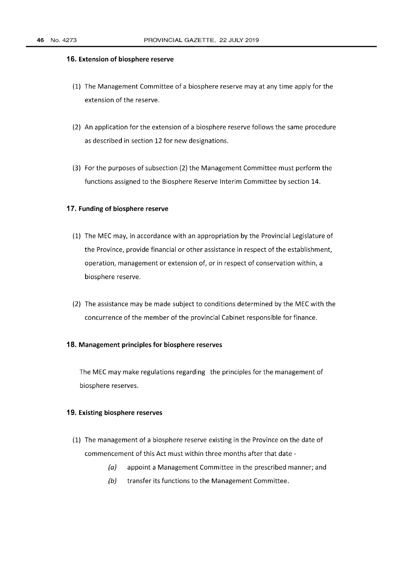## **16. Extension of biosphere reserve**

- (1) The Management Committee of a biosphere reserve may at any time apply for the extension of the reserve.
- (2) An application for the extension of a biosphere reserve follows the same procedure as described in section 12 for new designations.
- (3) For the purposes of subsection (2) the Management Committee must perform the functions assigned to the Biosphere Reserve Interim Committee by section 14.

# **17. Funding of biosphere reserve**

- (1) The MEC may, in accordance with an appropriation by the Provincial Legislature of the Province, provide financial or other assistance in respect of the establishment, operation, management or extension of, or in respect of conservation within, a biosphere reserve.
- (2) The assistance may be made subject to conditions determined by the MEC with the concurrence of the member of the provincial Cabinet responsible for finance.

### **18. Management principles for biosphere reserves**

The MEC may make regulations regarding the principles for the management of biosphere reserves.

# **19. Existing biosphere reserves**

- (1) The management of a biosphere reserve existing in the Province on the date of commencement of this Act must within three months after that date -
	- (a) appoint a Management Committee in the prescribed manner; and
	- $(b)$  transfer its functions to the Management Committee.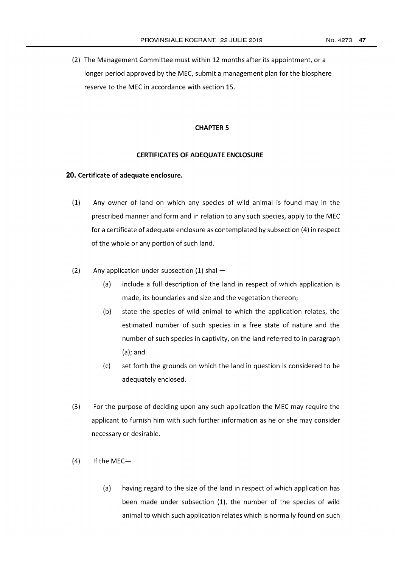(2) The Management Committee must within 12 months after its appointment, or a longer period approved by the MEC, submit a management plan for the biosphere reserve to the MEC in accordance with section 15.

#### **CHAPTER 5**

# **CERTIFICATES OF ADEQUATE ENCLOSURE**

# **20. Certificate of adequate enclosure.**

- (1) Any owner of land on which any species of wild animal is found may in the prescribed manner and form and in relation to any such species, apply to the MEC for a certificate of adequate enclosure as contemplated by subsection (4) in respect of the whole or any portion of such land.
- (2) Any application under subsection  $(1)$  shall-
	- (a) include a full description of the land in respect of which application is made, its boundaries and size and the vegetation thereon;
	- (b) state the species of wild animal to which the application relates, the estimated number of such species in a free state of nature and the number of such species in captivity, on the land referred to in paragraph (a); and
	- (c) set forth the grounds on which the land in question is considered to be adequately enclosed.
- (3) For the purpose of deciding upon any such application the MEC may require the applicant to furnish him with such further information as he or she may consider necessary or desirable.
- $(4)$  If the MEC-
	- (a) having regard to the size of the land in respect of which application has been made under subsection (1), the number of the species of wild animal to which such application relates which is normally found on such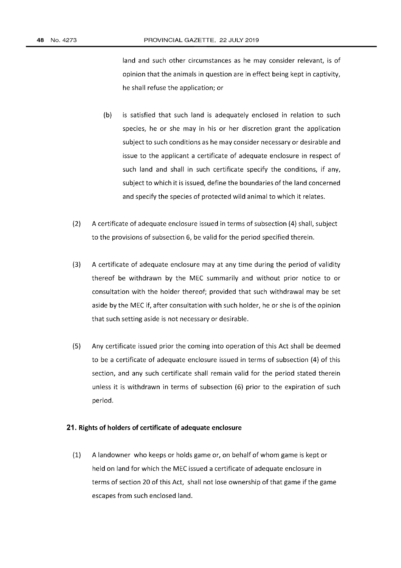land and such other circumstances as he may consider relevant, is of opinion that the animals in question are in effect being kept in captivity, he shall refuse the application; or

- (b) is satisfied that such land is adequately enclosed in relation to such species, he or she may in his or her discretion grant the application subject to such conditions as he may consider necessary or desirable and issue to the applicant a certificate of adequate enclosure in respect of such land and shall in such certificate specify the conditions, if any, subject to which it is issued, define the boundaries of the land concerned and specify the species of protected wild animal to which it relates.
- (2) A certificate of adequate enclosure issued in terms of subsection (4) shall, subject to the provisions of subsection 6, be valid for the period specified therein.
- (3) A certificate of adequate enclosure may at any time during the period of validity thereof be withdrawn by the MEC summarily and without prior notice to or consultation with the holder thereof; provided that such withdrawal may be set aside by the MEC if, after consultation with such holder, he or she is of the opinion that such setting aside is not necessary or desirable.
- (5) Any certificate issued prior the coming into operation of this Act shall be deemed to be a certificate of adequate enclosure issued in terms of subsection (4) of this section, and any such certificate shall remain valid for the period stated therein unless it is withdrawn in terms of subsection (6) prior to the expiration of such period.

# **21. Rights of holders of certificate of adequate enclosure**

(1) A landowner who keeps or holds game or, on behalf of whom game is kept or held on land for which the MEC issued a certificate of adequate enclosure in terms of section 20 of this Act, shall not lose ownership of that game ifthe game escapes from such enclosed land.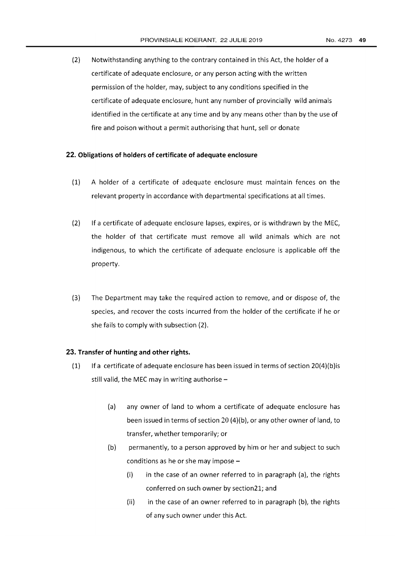(2) Notwithstanding anything to the contrary contained in this Act, the holder of a certificate of adequate enclosure, or any person acting with the written permission of the holder, may, subject to any conditions specified in the certificate of adequate enclosure, hunt any number of provincially wild animals identified in the certificate at any time and by any means other than by the use of fire and poison without a permit authorising that hunt, sell or donate

# **22. Obligations of holders of certificate of adequate enclosure**

- (1) A holder of a certificate of adequate enclosure must maintain fences on the relevant property in accordance with departmental specifications at all times.
- (2) If a certificate of adequate enclosure lapses, expires, or is withdrawn by the MEC, the holder of that certificate must remove all wild animals which are not indigenous, to which the certificate of adequate enclosure is applicable off the property.
- (3) The Department may take the required action to remove, and or dispose of, the species, and recover the costs incurred from the holder of the certificate if he or she fails to comply with subsection (2).

## **23. Transfer of hunting and other rights.**

- (1) If a certificate of adequate enclosure has been issued in terms of section  $20(4)(b)$  is still valid, the MEC may in writing authorise  $-$ 
	- (a) any owner of land to whom a certificate of adequate enclosure has been issued in terms of section  $20(4)(b)$ , or any other owner of land, to transfer, whether temporarily; or
	- (b) permanently, to a person approved by him or her and subject to such conditions as he or she may impose  $-$ 
		- (i) in the case of an owner referred to in paragraph (a), the rights conferred on such owner by section21; and
		- $(ii)$  in the case of an owner referred to in paragraph (b), the rights of any such owner under this Act.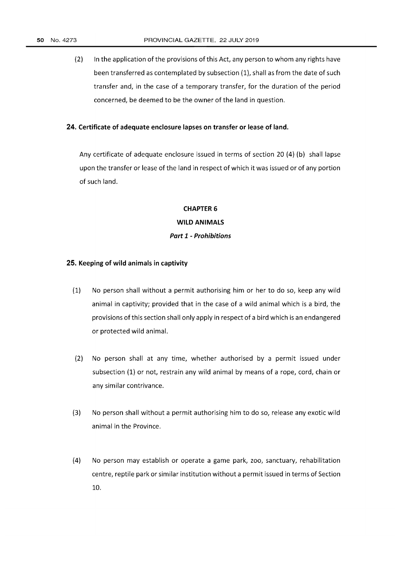(2) In the application of the provisions of this Act, any person to whom any rights have been transferred as contemplated by subsection (1), shall as from the date of such transfer and, in the case of a temporary transfer, for the duration of the period concerned, be deemed to be the owner of the land in question.

#### **24. Certificate of adequate enclosure lapses on transfer or lease of land.**

Any certificate of adequate enclosure issued in terms of section 20 (4) (b) shall lapse upon the transfer or lease of the land in respect of which it was issued or of any portion of such land.

#### **CHAPTER 6**

# **WILD ANIMALS**

# *Part* **1 -** *Prohibitions*

# **25. Keeping of wild animals in captivity**

- (1) No person shall without a permit authorising him or her to do so, keep any wild animal in captivity; provided that in the case of a wild animal which is a bird, the provisions of this section shall only apply in respect of a bird which is an endangered or protected wild animal.
- (2) No person shall at any time, whether authorised by a permit issued under subsection (1) or not, restrain any wild animal by means of a rope, cord, chain or any similar contrivance.
- (3) No person shall without a permit authorising him to do so, release any exotic wild animal in the Province.
- (4) No person may establish or operate a game park, zoo, sanctuary, rehabilitation centre, reptile park or similar institution without a permit issued in terms of Section 10.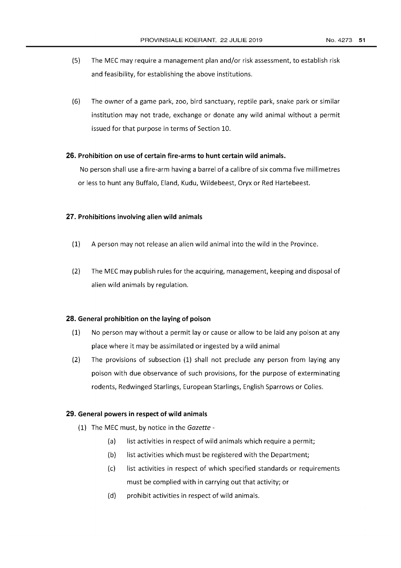- (5) The MEC may require a management plan and/or risk assessment, to establish risk and feasibility, for establishing the above institutions.
- (6) The owner of a game park, *lOO,* bird sanctuary, reptile park, snake park or similar institution may not trade, exchange or donate any wild animal without a permit issued for that purpose in terms of Section 10.

### **26. Prohibition on use of certain fire-arms to hunt certain wild animals.**

No person shall use a fire-arm having a barrel of a calibre of six comma five millimetres or less to hunt any Buffalo, Eland, Kudu, Wildebeest, Oryx or Red Hartebeest.

## **27. Prohibitions involving alien wild animals**

- (1) A person may not release an alien wild animal into the wild in the Province.
- (2) The MEC may publish rules for the acquiring, management, keeping and disposal of alien wild animals by regulation.

# **28. General prohibition on the laying of poison**

- (1) No person may without a permit lay or cause or allow to be laid any poison at any place where it may be assimilated or ingested by a wild animal
- (2) The provisions of subsection (1) shall not preclude any person from laying any poison with due observance of such provisions, for the purpose of exterminating rodents, Redwinged Starlings, European Starlings, English Sparrows or Colies.

### **29. General powers in respect of wild animals**

- (1) The MEC must, by notice in the *Gazette-*
	- (a) list activities in respect of wild animals which require a permit;
	- (b) list activities which must be registered with the Department;
	- (c) list activities in respect of which specified standards or requirements must be complied with in carrying out that activity; or
	- (d) prohibit activities in respect of wild animals.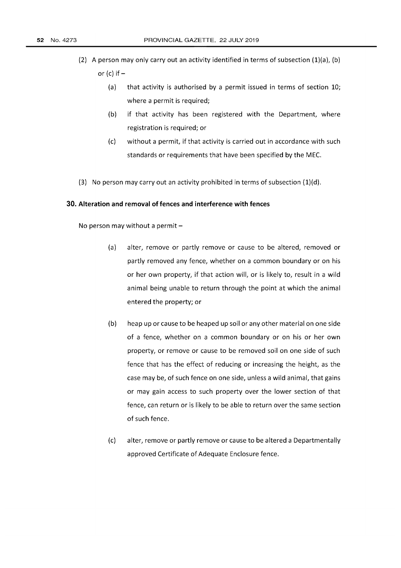- (2) A person may only carry out an activity identified in terms of subsection  $(1)(a)$ ,  $(b)$ or  $(c)$  if  $-$ 
	- (al that activity is authorised by a permit issued in terms of section 10; where a permit is required:
	- (b) if that activity has been registered with the Department, where registration is required; or
	- (cl without a permit, if that activity is carried out in accordance with such standards or requirements that have been specified by the MEC.
- (3) No person may carry out an activity prohibited in terms of subsection  $(1)(d)$ .

# **30. Alteration and removal of fences and interference with fences**

No person may without a permit  $-$ 

- (al alter, remove or partly remove or cause to be altered, removed or partly removed any fence, whether on a common boundary or on his or her own property, if that action will, or is likely to, result in a wild animal being unable to return through the point at which the animal entered the property; or
- (bl heap up or cause to be heaped up soil or any other material on one side of a fence, whether on a common boundary or on his or her own property, or remove or cause to be removed soil on one side of such fence that has the effect of reducing or increasing the height, as the case may be, of such fence on one side, unless a wild animal, that gains or may gain access to such property over the lower section of that fence, can return or is likely to be able to return over the same section of such fence.
- (cl alter, remove or partly remove or cause to be altered a Departmentally approved Certificate of Adequate Enclosure fence.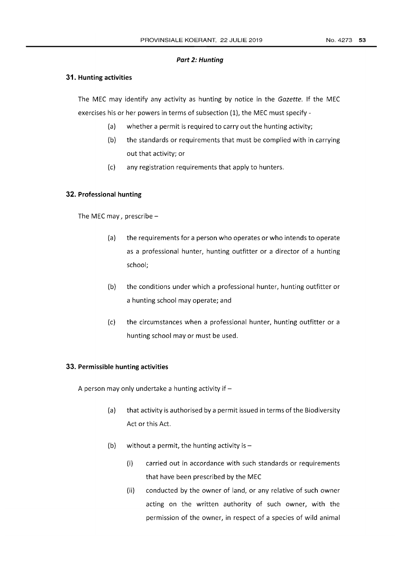### **Part 2: Hunting**

# **31. Hunting activities**

The MEC may identify any activity as hunting by notice in the *Gazette.* If the MEC exercises his or her powers in terms of subsection (1), the MEC must specify -

- (a) whether a permit is required to carry out the hunting activity;
- (b) the standards or requirements that must be complied with in carrying out that activity; or
- (c) any registration requirements that apply to hunters.

# **32. Professional hunting**

The MEC may, prescribe  $-$ 

- (a) the requirements for a person who operates or who intends to operate as a professional hunter, hunting outfitter or a director of a hunting school;
- (b) the conditions under which a professional hunter, hunting outfitter or a hunting school may operate; and
- (c) the circumstances when a professional hunter, hunting outfitter or a hunting school may or must be used.

# **33. Permissible hunting activities**

A person may only undertake a hunting activity if  $-$ 

- (a) that activity is authorised by a permit issued in terms of the Biodiversity Act or this Act.
- (b) without a permit, the hunting activity is  $-$ 
	- (i) carried out in accordance with such standards or requirements that have been prescribed by the MEC
	- (ii) conducted by the owner of land, or any relative of such owner acting on the written authority of such owner, with the permission of the owner, in respect of a species of wild animal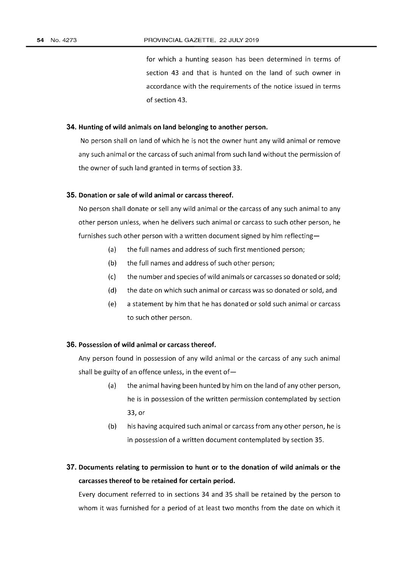for which a hunting season has been determined in terms of section 43 and that is hunted on the land of such owner in accordance with the requirements of the notice issued in terms of section 43.

#### 34. Hunting of wild animals on land belonging to another person.

No person shall on land of which he is not the owner hunt any wild animal or remove any such animal or the carcass of such animal from such land without the permission of the owner of such land granted in terms of section 33.

## 35. Donation or sale of wild animal or carcass thereof.

No person shall donate or sell any wild animal or the carcass of any such animal to any other person unless, when he delivers such animal or carcass to such other person, he furnishes such other person with a written document signed by him reflecting-

- (a) the full names and address of such first mentioned person;
- (b) the full names and address of such other person;
- (c) the number and species of wild animals or carcasses so donated or sold;
- (d) the date on which such animal or carcass was so donated or sold, and
- (e) a statement by him that he has donated or sold such animal or carcass to such other person.

#### 36. Possession of wild animal or carcass thereof.

Any person found in possession of any wild animal or the carcass of any such animal shall be guilty of an offence unless, in the event of-

- (a) the animal having been hunted by him on the land of any other person, he is in possession of the written permission contemplated by section 33, or
- (b) his having acquired such animal or carcass from any other person, he is in possession of a written document contemplated by section 35.
- 37. Documents relating to permission to hunt or to the donation of wild animals or the carcasses thereof to be retained for certain period.

Every document referred to in sections 34 and 35 shall be retained by the person to whom it was furnished for a period of at least two months from the date on which it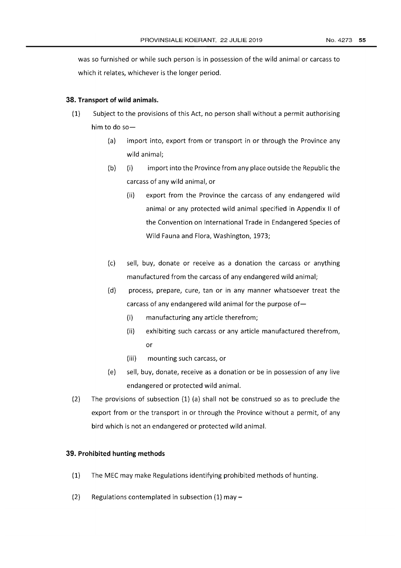was so furnished or while such person is in possession of the wild animal or carcass to which it relates, whichever is the longer period.

# **38. Transport of wild animals.**

- (1) Subject to the provisions of this Act, no person shall without a permit authorising him to do so $-$ 
	- (a) import into, export from or transport in or through the Province any wild animal;
	- (b) (i) import into the Province from any place outside the Republic the carcass of any wild animal, or
		- (ii) export from the Province the carcass of any endangered wild animal or any protected wild animal specified in Appendix II of the Convention on International Trade in Endangered Species of Wild Fauna and Flora, Washington, 1973;
	- (c) sell, buy, donate or receive as a donation the carcass or anything manufactured from the carcass of any endangered wild animal;
	- (d) process, prepare, cure, tan or in any manner whatsoever treat the carcass of any endangered wild animal for the purpose of $-$ 
		- (i) manufacturing any article therefrom;
		- (ii) exhibiting such carcass or any article manufactured therefrom, or
		- (iii) mounting such carcass, or
	- (e) sell, buy, donate, receive as a donation or be in possession of any live endangered or protected wild animal.
- (2) The provisions of subsection (1) (a) shall not be construed so as to preclude the export from or the transport in or through the Province without a permit, of any bird which is not an endangered or protected wild animal.

# **39. Prohibited hunting methods**

- (1) The MEC may make Regulations identifying prohibited methods of hunting.
- (2) Regulations contemplated in subsection (1) may  $-$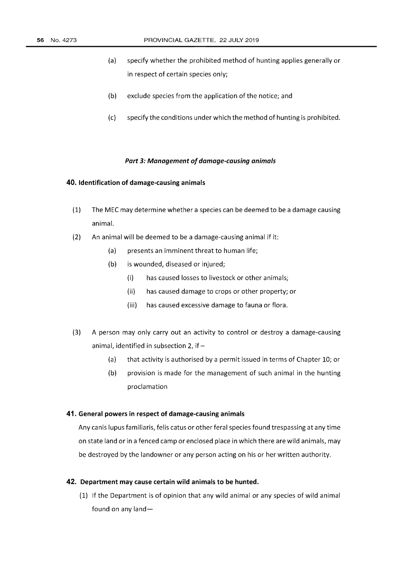- (a) specify whether the prohibited method of hunting applies generally or in respect of certain species only;
- (b) exclude species from the application of the notice; and
- (c) specify the conditions under which the method of hunting is prohibited.

## *Part* **3:** *Management of damage-causing animals*

### **40. Identification of damage-causing animals**

- (1) The MEC may determine whether a species can be deemed to be a damage causing animal.
- (2) An animal will be deemed to be a damage-causing animal if it:
	- (a) presents an imminent threat to human life;
	- (b) is wounded, diseased or injured;
		- (i) has caused losses to livestock or other animals;
		- (ii) has caused damage to crops or other property; or
		- (iii) has caused excessive damage to fauna or flora.
- (3) A person may only carry out an activity to control or destroy a damage-causing animal, identified in subsection 2, if-
	- (a) that activity is authorised by a permit issued in terms of Chapter 10; or
	- (b) provision is made for the management of such animal in the hunting proclamation

### **41. General powers in respect of damage-causing animals**

Any canis lupus familiaris, felis catus or other feral species found trespassing at any time on state land or in a fenced camp or enclosed place in which there are wild animals, may be destroyed by the landowner or any person acting on his or her written authority.

# **42. Department may cause certain wild animals to be hunted.**

(1) If the Department is of opinion that any wild animal or any species of wild animal found on any land $-$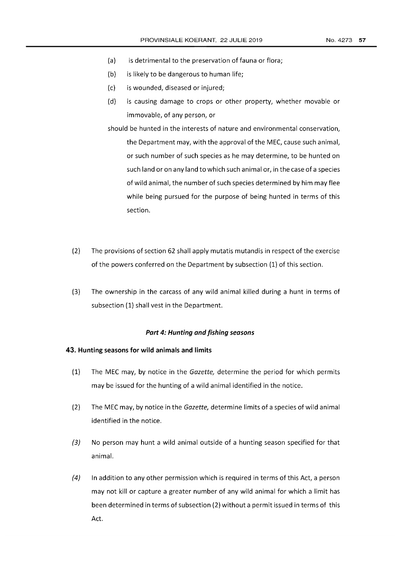- (a) is detrimental to the preservation of fauna or flora;
- (b) is likely to be dangerous to human life;
- (c) is wounded, diseased or injured;
- (d) is causing damage to crops or other property, whether movable or immovable, of any person, or

should be hunted in the interests of nature and environmental conservation, the Department may, with the approval of the MEC, cause such animal, or such number of such species as he may determine, to be hunted on such land or on any land to which such animal or, in the case of a species of wild animal, the number of such species determined by him may flee while being pursued for the purpose of being hunted in terms of this section.

- (2) The provisions of section 62 shall apply mutatis mutandis in respect of the exercise of the powers conferred on the Department by subsection (1) of this section.
- (3) The ownership in the carcass of any wild animal killed during a hunt in terms of subsection (1) shall vest in the Department.

#### *Part* **4:** *Hunting and fishing seasons*

# **43. Hunting seasons for wild animals and limits**

- (1) The MEC may, by notice in the *Gazette,* determine the period for which permits may be issued for the hunting of a wild animal identified in the notice.
- (2) The MEC may, by notice in the *Gazette,* determine limits of a species of wild animal identified in the notice.
- (3) No person may hunt a wild animal outside of a hunting season specified for that animal.
- $(4)$  In addition to any other permission which is required in terms of this Act, a person may not kill or capture a greater number of any wild animal for which a limit has been determined in terms of subsection (2) without a permit issued in terms of this Act.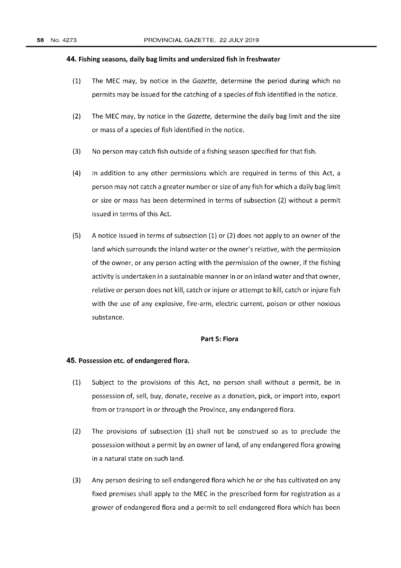# **44. Fishing seasons, daily bag limits and undersized fish in freshwater**

- (1) The MEC may, by notice in the *Gazette,* determine the period during which no permits may be issued for the catching of a species of fish identified in the notice.
- (2) The MEC may, by notice in the *Gazette,* determine the daily bag limit and the size or mass of a species of fish identified in the notice.
- (3) No person may catch fish outside of a fishing season specified for that fish.
- (4) In addition to any other permissions which are required in terms of this Act, a person may not catch a greater number or size of any fish for which a daily bag limit or size or mass has been determined in terms of subsection (2) without a permit issued in terms of this Act.
- (5) A notice issued in terms of subsection (1) or (2) does not apply to an owner of the land which surrounds the inland water or the owner's relative, with the permission of the owner, or any person acting with the permission of the owner, if the fishing activity is undertaken in a sustainable manner in or on inland water and that owner, relative or person does not kill, catch or injure or attempt to kill, catch or injure fish with the use of any explosive, fire-arm, electric current, poison or other noxious substance.

#### **Part 5: Flora**

## **45. Possession etc. of endangered flora.**

- (1) Subject to the provisions of this Act, no person shall without a permit, be in possession of, sell, buy, donate, receive as a donation, pick, or import into, export from or transport in or through the Province, any endangered flora.
- (2) The provisions of subsection (1) shall not be construed so as to preclude the possession without a permit by an owner of land, of any endangered flora growing in a natural state on such land.
- (3) Any person desiring to sell endangered flora which he or she has cultivated on any fixed premises shall apply to the MEC in the prescribed form for registration as a grower of endangered flora and a permit to sell endangered flora which has been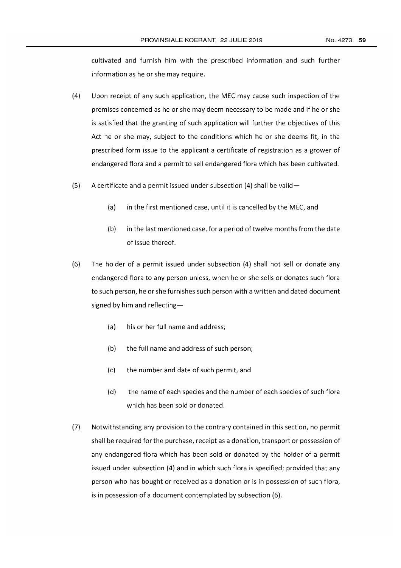cultivated and furnish him with the prescribed information and such further information as he or she may require.

- (4) Upon receipt of any such application, the MEC may cause such inspection of the premises concerned as he or she may deem necessary to be made and if he or she is satisfied that the granting of such application will further the objectives of this Act he or she may, subject to the conditions which he or she deems fit, in the prescribed form issue to the applicant a certificate of registration as a grower of endangered flora and a permit to sell endangered flora which has been cultivated.
- (5) A certificate and a permit issued under subsection (4) shall be valid-
	- (a) in the first mentioned case, until it is cancelled by the MEC, and
	- (b) in the last mentioned case, for a period of twelve months from the date of issue thereof.
- (6) The holder of a permit issued under subsection (4) shall not sell or donate any endangered flora to any person unless, when he or she sells or donates such flora to such person, he or she furnishes such person with a written and dated document signed by him and reflecting-
	- (a) his or her full name and address;
	- (b) the full name and address of such person;
	- (c) the number and date of such permit, and
	- (d) the name of each species and the number of each species of such flora which has been sold or donated.
- (7) Notwithstanding any provision to the contrary contained in this section, no permit shall be required for the purchase, receipt as a donation, transport or possession of any endangered flora which has been sold or donated by the holder of a permit issued under subsection (4) and in which such flora is specified; provided that any person who has bought or received as a donation or is in possession of such flora, is in possession of a document contemplated by subsection (6).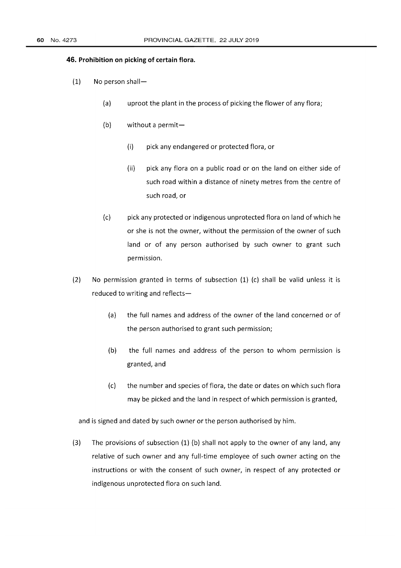# **46. Prohibition on picking of certain flora.**

- $(1)$  No person shall-
	- (a) uproot the plant in the process of picking the flower of any flora;
	- $(b)$  without a permit-
		- (i) pick any endangered or protected flora, or
		- (ii) pick any flora on a public road or on the land on either side of such road within a distance of ninety metres from the centre of such road, or
	- (c) pick any protected or indigenous unprotected flora on land of which he or she is not the owner, without the permission of the owner of such land or of any person authorised by such owner to grant such permission.
- (2) No permission granted in terms of subsection (1) (c) shall be valid unless it is reduced to writing and reflects-
	- (a) the full names and address of the owner of the land concerned or of the person authorised to grant such permission;
	- (b) the full names and address of the person to whom permission is granted, and
	- (c) the number and species of flora, the date or dates on which such flora may be picked and the land in respect of which permission is granted,

and is signed and dated by such owner or the person authorised by him.

(3) The provisions of subsection (1) (b) shall not apply to the owner of any land, any relative of such owner and any full-time employee of such owner acting on the instructions or with the consent of such owner, in respect of any protected or indigenous unprotected flora on such land.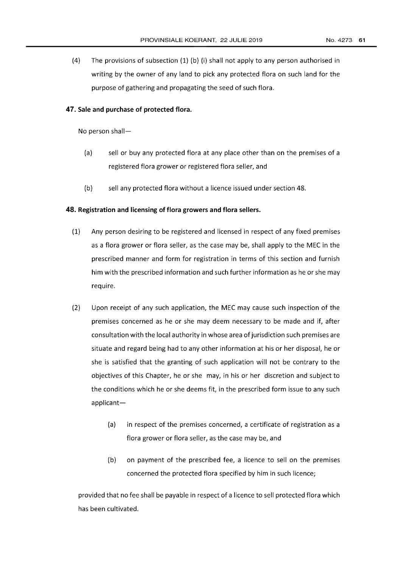(4) The provisions of subsection (1) (b) (i) shall not apply to any person authorised in writing by the owner of any land to pick any protected flora on such land for the purpose of gathering and propagating the seed of such flora.

# **47. Sale and purchase of protected flora.**

No person shall $-$ 

- (a) sell or buy any protected flora at any place other than on the premises of a registered flora grower or registered flora seller, and
- (b) sell any protected flora without a licence issued under section 48.

## **48. Registration and licensing of flora growers and flora sellers.**

- (1) Any person desiring to be registered and licensed in respect of any fixed premises as a flora grower or flora seller, as the case may be, shall apply to the MEC in the prescribed manner and form for registration in terms of this section and furnish him with the prescribed information and such further information as he or she may require.
- (2) Upon receipt of any such application, the MEC may cause such inspection of the premises concerned as he or she may deem necessary to be made and if, after consultation with the local authority in whose area of jurisdiction such premises are situate and regard being had to any other information at his or her disposal, he or she is satisfied that the granting of such application will not be contrary to the objectives of this Chapter, he or she may, in his or her discretion and subject to the conditions which he or she deems fit, in the prescribed form issue to any such applicant-
	- (a) in respect of the premises concerned, a certificate of registration as a flora grower or flora seller, as the case may be, and
	- (b) on payment of the prescribed fee, a licence to sellon the premises concerned the protected flora specified by him in such licence;

provided that no fee shall be payable in respect of a licence to sell protected flora which has been cultivated.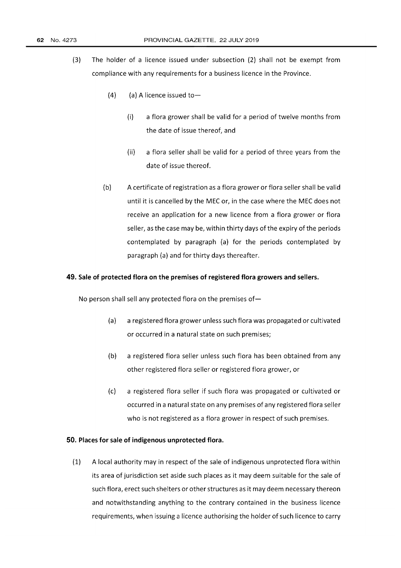- (3) The holder of a licence issued under subsection (2) shall not be exempt from compliance with any requirements for a business licence in the Province.
	- $(4)$  (a) A licence issued to-
		- (i) a flora grower shall be valid for a period of twelve months from the date of issue thereof, and
		- (ii) a flora seller shall be valid for a period of three years from the date of issue thereof.
	- (b) A certificate of registration as a flora grower or flora seller shall be valid until it is cancelled by the MEC or, in the case where the MEC does not receive an application for a new licence from a flora grower or flora seller, as the case may be, within thirty days of the expiry of the periods contemplated by paragraph (a) for the periods contemplated by paragraph (a) and for thirty days thereafter.

# **49. Sale of protected flora on the premises of registered flora growers and sellers.**

No person shall sell any protected flora on the premises of $-$ 

- (a) a registered flora grower unless such flora was propagated or cultivated or occurred in a natural state on such premises;
- (b) a registered flora seller unless such flora has been obtained from any other registered flora seller or registered flora grower, or
- (c) a registered flora seller if such flora was propagated or cultivated or occurred in a natural state on any premises of any registered flora seller who is not registered as a flora grower in respect of such premises.

# **50. Places for sale of indigenous unprotected flora.**

(1) A local authority may in respect of the sale of indigenous unprotected flora within its area of jurisdiction set aside such places as it may deem suitable for the sale of such flora, erect such shelters or other structures as it may deem necessary thereon and notwithstanding anything to the contrary contained in the business licence requirements, when issuing a licence authorising the holder of such licence to carry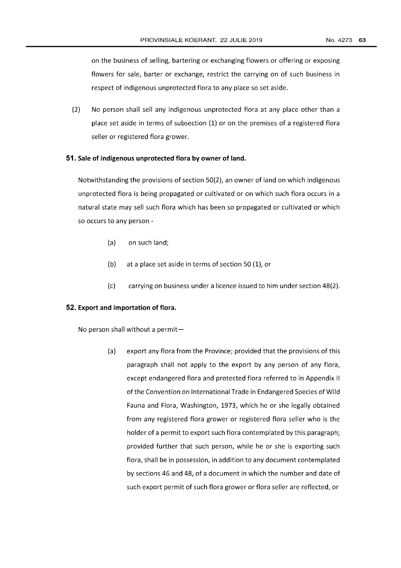on the business of selling, bartering or exchanging flowers or offering or exposing flowers for sale, barter or exchange, restrict the carrying on of such business in respect of indigenous unprotected flora to any place so set aside.

(2) No person shall sell any indigenous unprotected flora at any place other than a place set aside in terms of subsection (1) or on the premises of a registered flora seller or registered flora grower.

## **51. Sale of indigenous unprotected flora by owner of land.**

Notwithstanding the provisions of section 50(2), an owner of land on which indigenous unprotected flora is being propagated or cultivated or on which such flora occurs in a natural state may sell such flora which has been so propagated or cultivated or which so occurs to any person -

- (a) on such land;
- (b) at a place set aside in terms of section 50  $(1)$ , or
- (c) carrying on business under a licence issued to him under section 48(2).

# **52. Export and importation of flora.**

No person shall without a permit-

(a) export any flora from the Province; provided that the provisions of this paragraph shall not apply to the export by any person of any flora, except endangered flora and protected flora referred to in Appendix II of the Convention on International Trade in Endangered Species of Wild Fauna and Flora, Washington, 1973, which he or she legally obtained from any registered flora grower or registered flora seller who is the holder of a permit to export such flora contemplated by this paragraph; provided further that such person, while he or she is exporting such flora, shall be in possession, in addition to any document contemplated by sections 46 and 48, of a document in which the number and date of such export permit of such flora grower or flora seller are reflected, or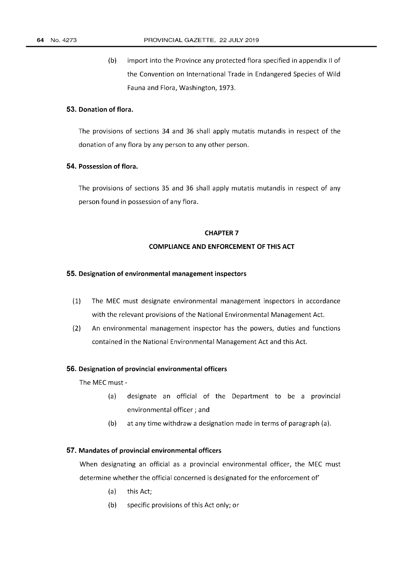(b) import into the Province any protected flora specified in appendix II of the Convention on International Trade in Endangered Species of Wild Fauna and Flora, Washington, 1973.

# **53. Donation of flora.**

The provisions of sections 34 and 36 shall apply mutatis mutandis in respect of the donation of any flora by any person to any other person.

# **54. Possession of flora.**

The provisions of sections 35 and 36 shall apply mutatis mutandis in respect of any person found in possession of any flora.

#### **CHAPTER 7**

## **COMPLIANCE AND ENFORCEMENT OF THIS ACT**

# **55. Designation of environmental management inspectors**

- (1) The MEC must designate environmental management inspectors in accordance with the relevant provisions of the National Environmental Management Act.
- (2) An environmental management inspector has the powers, duties and functions contained in the National Environmental Management Act and this Act.

# **56. Designation of provincial environmental officers**

The MEC must-

- (a) designate an official of the Department to be a provincial environmental officer; and
- (b) at any time withdraw a designation made in terms of paragraph (a).

#### **57. Mandates of provincial environmental officers**

When designating an official as a provincial environmental officer, the MEC must determine whether the official concerned is designated for the enforcement of'

- (a) this Act;
- (b) specific provisions of this Act only; or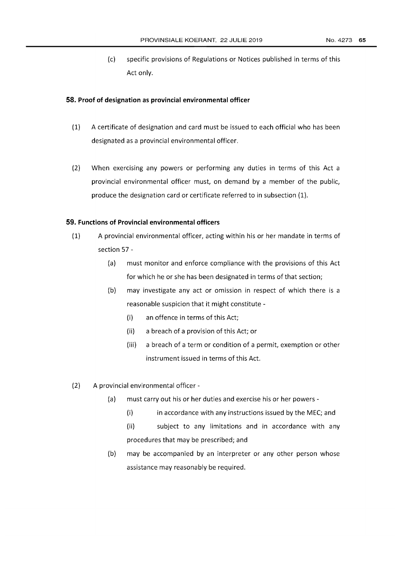(c) specific provisions of Regulations or Notices published in terms of this Act only.

### **58. Proof of designation as provincial environmental officer**

- (1) A certificate of designation and card must be issued to each official who has been designated as a provincial environmental officer.
- (2) When exercising any powers or performing any duties in terms of this Act a provincial environmental officer must, on demand by a member of the public, produce the designation card or certificate referred to in subsection (1).

# **59. Functions of Provincial environmental officers**

- (1) A provincial environmental officer, acting within his or her mandate in terms of section 57 -
	- (a) must monitor and enforce compliance with the provisions of this Act for which he or she has been designated in terms of that section;
	- (b) may investigate any act or omission in respect of which there is a reasonable suspicion that it might constitute -
		- (i) an offence in terms of this Act;
		- (ii) a breach of a provision of this Act; or
		- (iii) a breach of a term or condition of a permit, exemption or other instrument issued in terms of this Act.
- (2) A provincial environmental officer
	- (a) must carry out his or her duties and exercise his or her powers-
		- (i) in accordance with any instructions issued by the MEC; and
		- (ii) subject to any limitations and in accordance with any procedures that may be prescribed; and
	- (b) may be accompanied by an interpreter or any other person whose assistance may reasonably be required.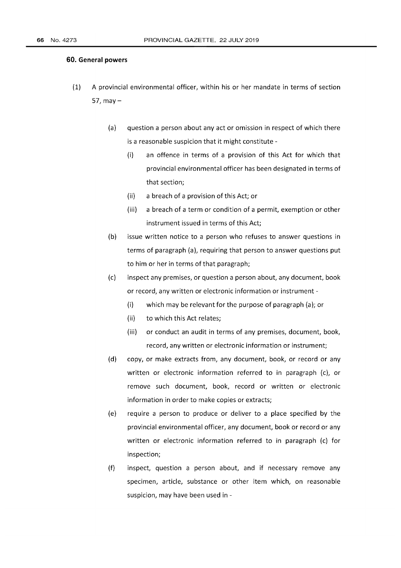# **60. General powers**

- (1) A provincial environmental officer, within his or her mandate in terms of section 57, may  $-$ 
	- (a) question a person about any act or omission in respect of which there is a reasonable suspicion that it might constitute -
		- (i) an offence in terms of a provision of this Act for which that provincial environmental officer has been designated in terms of that section;
		- (ii) a breach of a provision of this Act; or
		- (iii) a breach of a term or condition of a permit, exemption or other instrument issued in terms of this Act;
	- (b) issue written notice to a person who refuses to answer questions in terms of paragraph (a), requiring that person to answer questions put to him or her in terms of that paragraph;
	- (c) inspect any premises, or question a person about, any document, book or record, any written or electronic information or instrument-
		- (i) which may be relevant for the purpose of paragraph (a); or
		- (ii) to which this Act relates;
		- (iii) or conduct an audit in terms of any premises, document, book, record, any written or electronic information or instrument;
	- (d) copy, or make extracts from, any document, book, or record or any written or electronic information referred to in paragraph (c), or remove such document, book, record or written or electronic information in order to make copies or extracts;
	- (e) require a person to produce or deliver to a place specified by the provincial environmental officer, any document, book or record or any written or electronic information referred to in paragraph (c) for inspection;
	- (f) inspect, question a person about, and if necessary remove any specimen, article, substance or other item which, on reasonable suspicion, may have been used in -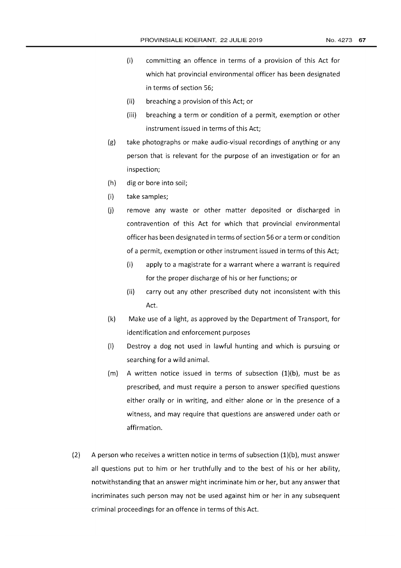- (i) committing an offence in terms of a provision of this Act for which hat provincial environmental officer has been designated in terms of section 56;
- (ii) breaching a provision of this Act; or
- (iii) breaching a term or condition of a permit, exemption or other instrument issued in terms of this Act;
- (g) take photographs or make audio-visual recordings of anything or any person that is relevant for the purpose of an investigation or for an inspection;
- (h) dig or bore into soil;
- (i) take samples;
- (j) remove any waste or other matter deposited or discharged in contravention of this Act for which that provincial environmental officer has been designated in terms of section 56 or a term or condition of a permit, exemption or other instrument issued in terms of this Act;
	- (i) apply to a magistrate for a warrant where a warrant is required for the proper discharge of his or her functions; or
	- (ii) carry out any other prescribed duty not inconsistent with this Act.
- (k) Make use of a light, as approved by the Department of Transport, for identification and enforcement purposes
- (I) Destroy a dog not used in lawful hunting and which is pursuing or searching for a wild animal.
- $(m)$  A written notice issued in terms of subsection  $(1)(b)$ , must be as prescribed, and must require a person to answer specified questions either orally or in writing, and either alone or in the presence of a witness, and may require that questions are answered under oath or affirmation.
- (2) A person who receives a written notice in terms of subsection  $(1)(b)$ , must answer all questions put to him or her truthfully and to the best of his or her ability, notwithstanding that an answer might incriminate him or her, but any answer that incriminates such person may not be used against him or her in any subsequent criminal proceedings for an offence in terms of this Act.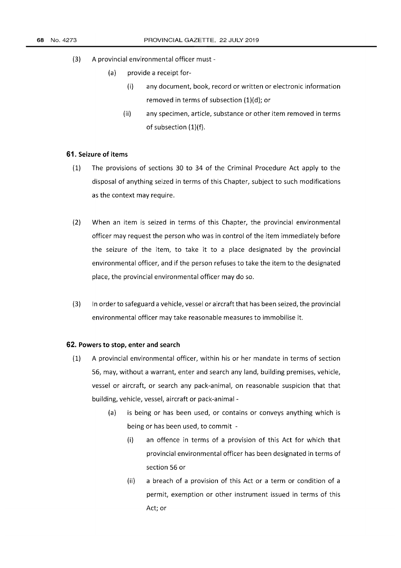- (3) A provincial environmental officer must -
	- (a) provide a receipt for-
		- (i) any document, book, record or written or electronic information removed in terms of subsection  $(1)(d)$ ; or
		- (ii) any specimen, article, substance or other item removed in terms of subsection (1)(f).

# **61. Seizure of items**

- (1) The provisions of sections 30 to 34 of the Criminal Procedure Act apply to the disposal of anything seized in terms of this Chapter, subject to such modifications as the context may require.
- (2) When an item is seized in terms of this Chapter, the provincial environmental officer may request the person who was in control of the item immediately before the seizure of the item, to take it to a place designated by the provincial environmental officer, and if the person refuses to take the item to the designated place, the provincial environmental officer may do so.
- (3) In order to safeguard a vehicle, vessel or aircraft that has been seized, the provincial environmental officer may take reasonable measures to immobilise it.

#### **62. Powers to stop, enter and search**

- (1) A provincial environmental officer, within his or her mandate in terms of section 56, may, without a warrant, enter and search any land, building premises, vehicle, vessel or aircraft, or search any pack-animal, on reasonable suspicion that that building, vehicle, vessel, aircraft or pack-animal -
	- (a) is being or has been used, or contains or conveys anything which is being or has been used, to commit -
		- (i) an offence in terms of a provision of this Act for which that provincial environmental officer has been designated in terms of section 56 or
		- (ii) a breach of a provision of this Act or a term or condition of a permit, exemption or other instrument issued in terms of this Act; or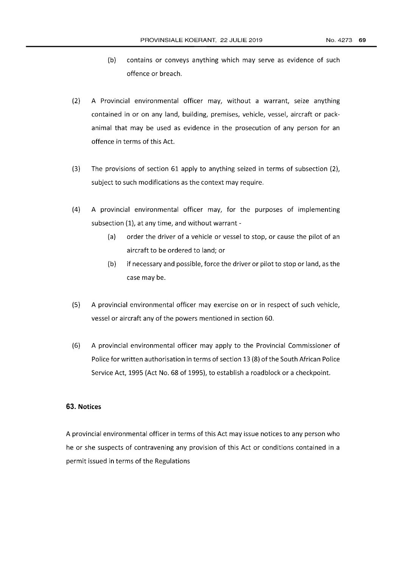- (b) contains or conveys anything which may serve as evidence of such offence or breach.
- (2) A Provincial environmental officer may, without a warrant, seize anything contained in or on any land, building, premises, vehicle, vessel, aircraft or packanimal that may be used as evidence in the prosecution of any person for an offence in terms of this Act.
- (3) The provisions of section 61 apply to anything seized in terms of subsection (2), subject to such modifications as the context may require.
- (4) A provincial environmental officer may, for the purposes of implementing subsection (1), at any time, and without warrant-
	- (a) order the driver of a vehicle or vessel to stop, or cause the pilot of an aircraft to be ordered to land; or
	- (b) if necessary and possible, force the driver or pilot to stop or land, as the case may be.
- (5) A provincial environmental officer may exercise on or in respect of such vehicle, vessel or aircraft any of the powers mentioned in section 60.
- (6) A provincial environmental officer may apply to the Provincial Commissioner of Police for written authorisation in terms of section 13 (8) of the South African Police Service Act, 1995 (Act No. 68 of 1995), to establish a roadblock or a checkpoint.

# **63. Notices**

A provincial environmental officer in terms of this Act may issue notices to any person who he or she suspects of contravening any provision of this Act or conditions contained in a permit issued in terms of the Regulations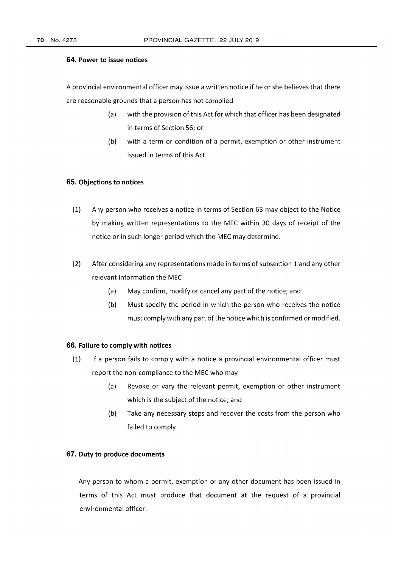# **64. Power to issue notices**

A provincial environmental officer may issue a written notice if he or she believes that there are reasonable grounds that a person has not complied

- (a) with the provision of this Act for which that officer has been designated in terms of Section 56; or
- (b) with a term or condition of a permit, exemption or other instrument issued in terms of this Act

# **65. Objections to notices**

- (1) Any person who receives a notice in terms of Section 63 may object to the Notice by making written representations to the MEC within 30 days of receipt of the notice or in such longer period which the MEC may determine.
- (2) After considering any representations made in terms of subsection 1 and any other relevant information the MEC
	- (a) May confirm, modify or cancel any part of the notice; and
	- (b) Must specify the period in which the person who receives the notice must comply with any part of the notice which is confirmed or modified.

### **66. Failure to comply with notices**

- (1) If a person fails to comply with a notice a provincial environmental officer must report the non-compliance to the MEC who may
	- (a) Revoke or vary the relevant permit, exemption or other instrument which is the subject of the notice; and
	- (b) Take any necessary steps and recover the costs from the person who failed to comply

# **67. Duty to produce documents**

Any person to whom a permit, exemption or any other document has been issued in terms of this Act must produce that document at the request of a provincial environmental officer.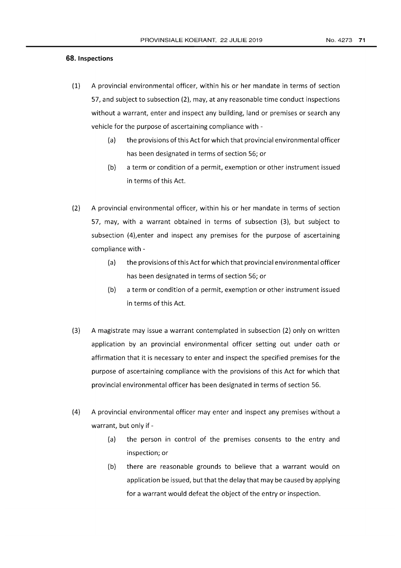# **68. Inspections**

- (1) A provincial environmental officer, within his or her mandate in terms of section 57, and subject to subsection (2), may, at any reasonable time conduct inspections without a warrant, enter and inspect any building, land or premises or search any vehicle for the purpose of ascertaining compliance with -
	- (a) the provisions of this Act for which that provincial environmental officer has been designated in terms of section 56; or
	- (b) a term or condition of a permit, exemption or other instrument issued in terms of this Act.
- (2) A provincial environmental officer, within his or her mandate in terms of section 57, may, with a warrant obtained in terms of subsection (3), but subject to subsection (4},enter and inspect any premises for the purpose of ascertaining compliance with -
	- (a) the provisions of this Act for which that provincial environmental officer has been designated in terms of section 56; or
	- (b) a term or condition of a permit, exemption or other instrument issued in terms of this Act.
- (3) A magistrate may issue a warrant contemplated in subsection (2) only on written application by an provincial environmental officer setting out under oath or affirmation that it is necessary to enter and inspect the specified premises for the purpose of ascertaining compliance with the provisions of this Act for which that provincial environmental officer has been designated in terms of section 56.
- (4) A provincial environmental officer may enter and inspect any premises without a warrant, but only if -
	- (a) the person in control of the premises consents to the entry and inspection; or
	- (b) there are reasonable grounds to believe that a warrant would on application be issued, but that the delay that may be caused by applying for a warrant would defeat the object of the entry or inspection.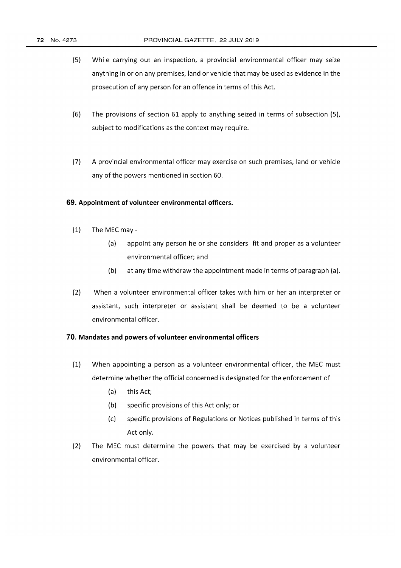- (5) While carrying out an inspection, a provincial environmental officer may seize anything in or on any premises, land or vehicle that may be used as evidence in the prosecution of any person for an offence in terms of this Act.
- (6) The provisions of section 61 apply to anything seized in terms of subsection (5), subject to modifications as the context may require.
- (7) A provincial environmental officer may exercise on such premises, land or vehicle any of the powers mentioned in section 60.

# **69. Appointment of volunteer environmental officers.**

- (1) The MEC may-
	- (a) appoint any person he or she considers fit and proper as a volunteer environmental officer; and
	- (b) at any time withdraw the appointment made in terms of paragraph (a).
- (2) When a volunteer environmental officer takes with him or her an interpreter or assistant, such interpreter or assistant shall be deemed to be a volunteer environmental officer.

# **70. Mandates and powers of volunteer environmental officers**

- (1) When appointing a person as a volunteer environmental officer, the MEC must determine whether the official concerned is designated for the enforcement of
	- (a) this Act;
	- (b) specific provisions of this Act only; or
	- (c) specific provisions of Regulations or Notices published in terms of this Act only.
- (2) The MEC must determine the powers that may be exercised by a volunteer environmental officer.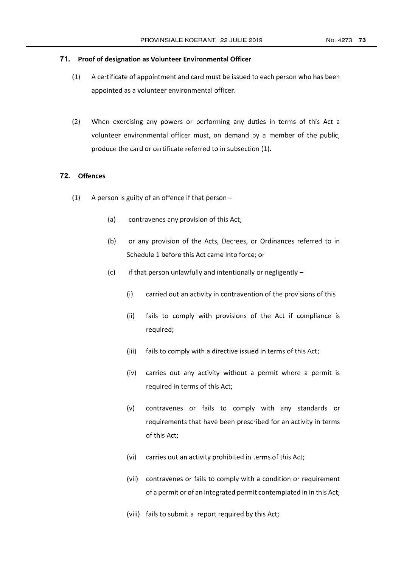#### **71. Proof of designation as Volunteer Environmental Officer**

- (1) A certificate of appointment and card must be issued to each person who has been appointed as a volunteer environmental officer.
- (2) When exercising any powers or performing any duties in terms of this Act a volunteer environmental officer must, on demand by a member of the public, produce the card or certificate referred to in subsection (1).

# **72. Offences**

- (1) A person is guilty of an offence if that person  $-$ 
	- (a) contravenes any provision of this Act;
	- (b) or any provision of the Acts, Decrees, or Ordinances referred to in Schedule 1 before this Act came into force; or
	- (c) if that person unlawfully and intentionally or negligently  $-$ 
		- (i) carried out an activity in contravention of the provisions of this
		- (ii) fails to comply with provisions of the Act if compliance is required;
		- (iii) fails to comply with a directive issued in terms of this Act;
		- (iv) carries out any activity without a permit where a permit is required in terms of this Act;
		- (v) contravenes or fails to comply with any standards or requirements that have been prescribed for an activity in terms of this Act;
		- (vi) carries out an activity prohibited in terms of this Act;
		- (vii) contravenes or fails to comply with a condition or requirement of a permit or of an integrated permit contemplated in in this Act;
		- (viii) fails to submit a report required by this Act;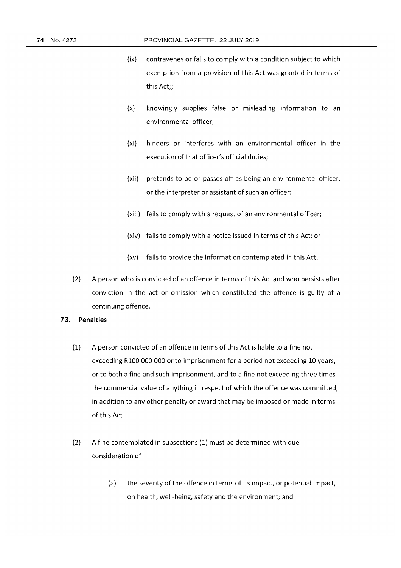- (ix) contravenes or fails to comply with a condition subject to which exemption from a provision of this Act was granted in terms of this Act;;
- (x) knowingly supplies false or misleading information to an environmental officer;
- (xi) hinders or interferes with an environmental officer in the execution of that officer's official duties;
- (xii) pretends to be or passes off as being an environmental officer, or the interpreter or assistant of such an officer;
- (xiii) fails to comply with a request of an environmental officer;
- (xiv) fails to comply with a notice issued in terms of this Act; or
- (xv) fails to provide the information contemplated in this Act.
- (2) A person who is convicted of an offence in terms of this Act and who persists after conviction in the act or omission which constituted the offence is guilty of a continuing offence.

# **73. Penalties**

- (1) A person convicted of an offence in terms of this Act is liable to a fine not exceeding RI00 000 000 or to imprisonment for a period not exceeding 10 years, or to both a fine and such imprisonment, and to a fine not exceeding three times the commercial value of anything in respect of which the offence was committed, in addition to any other penalty or award that may be imposed or made in terms of this Act.
- (2) A fine contemplated in subsections (1) must be determined with due consideration of-
	- (a) the severity of the offence in terms of its impact, or potential impact, on health, well-being, safety and the environment; and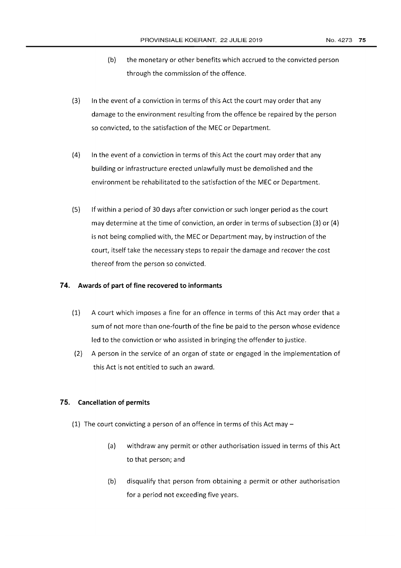- (b) the monetary or other benefits which accrued to the convicted person through the commission of the offence.
- (3) In the event of a conviction in terms of this Act the court may order that any damage to the environment resulting from the offence be repaired by the person so convicted, to the satisfaction of the MEC or Department.
- (4) In the event of a conviction in terms of this Act the court may order that any building or infrastructure erected unlawfully must be demolished and the environment be rehabilitated to the satisfaction of the MEC or Department.
- (5) If within a period of 30 days after conviction or such longer period as the court may determine at the time of conviction, an order in terms of subsection (3) or (4) is not being complied with, the MEC or Department may, by instruction of the court, itselftake the necessary steps to repair the damage and recover the cost thereof from the person so convicted.

#### **74. Awards of part of fine recovered to informants**

- (1) A court which imposes a fine for an offence in terms of this Act may order that a sum of not more than one-fourth of the fine be paid to the person whose evidence led to the conviction or who assisted in bringing the offender to justice.
- (2) A person in the service of an organ of state or engaged in the implementation of this Act is not entitled to such an award.

### **75. Cancellation of permits**

- (1) The court convicting a person of an offence in terms of this Act may  $-$ 
	- (a) withdraw any permit or other authorisation issued in terms of this Act to that person; and
	- (b) disqualify that person from obtaining a permit or other authorisation for a period not exceeding five years.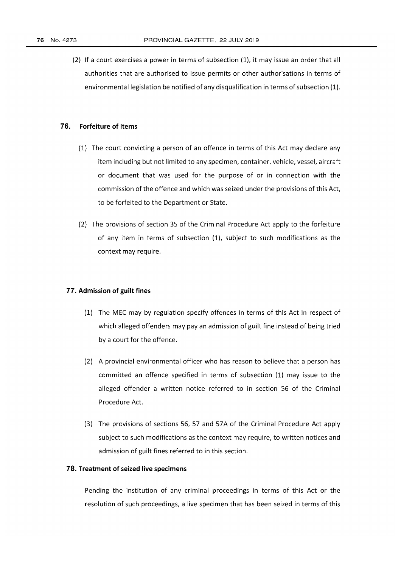(2) If a court exercises a power in terms of subsection (1), it may issue an order that all authorities that are authorised to issue permits or other authorisations in terms of environmental legislation be notified of any disqualification in terms of subsection (1).

# **76. Forfeiture of Items**

- (1) The court convicting a person of an offence in terms of this Act may declare any item including but not limited to any specimen, container, vehicle, vessel, aircraft or document that was used for the purpose of or in connection with the commission of the offence and which was seized under the provisions of this Act, to be forfeited to the Department or State.
- (2) The provisions of section 35 of the Criminal Procedure Act apply to the forfeiture of any item in terms of subsection (1), subject to such modifications as the context may require.

#### **77. Admission of guilt fines**

- (1) The MEC may by regulation specify offences in terms of this Act in respect of which alleged offenders may pay an admission of guilt fine instead of being tried by a court for the offence.
- (2) A provincial environmental officer who has reason to believe that a person has committed an offence specified in terms of subsection (1) may issue to the alleged offender a written notice referred to in section 56 of the Criminal Procedure Act.
- (3) The provisions of sections 56, 57 and 57 A of the Criminal Procedure Act apply subject to such modifications as the context may require, to written notices and admission of guilt fines referred to in this section.

# **78. Treatment of seized live specimens**

Pending the institution of any criminal proceedings in terms of this Act or the resolution of such proceedings, a live specimen that has been seized in terms of this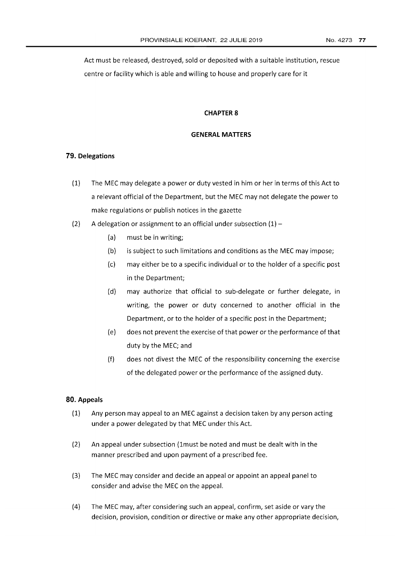Act must be released, destroyed, sold or deposited with a suitable institution, rescue centre or facility which is able and willing to house and properly care for it

#### **CHAPTER 8**

#### **GENERAL MATTERS**

#### **79. Delegations**

- (1) The MEC may delegate a power or duty vested in him or her in terms of this Act to a relevant official of the Department, but the MEC may not delegate the power to make regulations or publish notices in the gazette
- (2) A delegation or assignment to an official under subsection  $(1)$  -
	- (a) must be in writing;
	- (b) is subject to such limitations and conditions as the MEC may impose;
	- (c) may either be to a specific individual or to the holder of a specific post in the Department;
	- (d) may authorize that official to sub-delegate or further delegate, in writing, the power or duty concerned to another official in the Department, or to the holder of a specific post in the Department;
	- (e) does not prevent the exercise of that power or the performance of that duty by the MEC; and
	- (f) does not divest the MEC of the responsibility concerning the exercise of the delegated power or the performance of the assigned duty.

#### **80. Appeals**

- (1) Any person may appeal to an MEC against a decision taken by any person acting under a power delegated by that MEC under this Act.
- (2) An appeal under subsection (lmust be noted and must be dealt with in the manner prescribed and upon payment of a prescribed fee.
- (3) The MEC may consider and decide an appeal or appoint an appeal panel to consider and advise the MEC on the appeal.
- (4) The MEC may, after considering such an appeal, confirm, set aside or vary the decision, provision, condition or directive or make any other appropriate decision,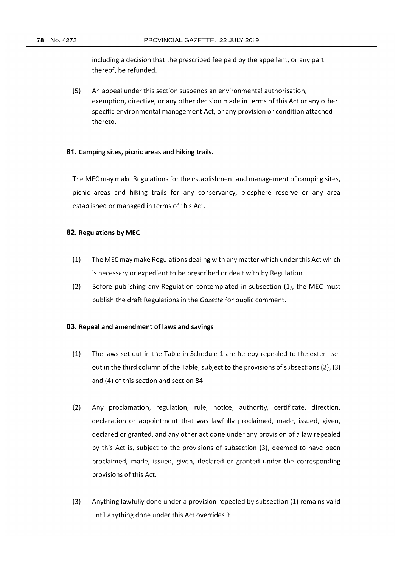including a decision that the prescribed fee paid by the appellant, or any part thereof, be refunded.

(5) An appeal under this section suspends an environmental authorisation, exemption, directive, or any other decision made in terms of this Act or any other specific environmental management Act, or any provision or condition attached thereto.

# **81. Camping sites, picnic areas and hiking trails.**

The MEC may make Regulations for the establishment and management of camping sites, picnic areas and hiking trails for any conservancy, biosphere reserve or any area established or managed in terms of this Act.

#### **82. Regulations by MEC**

- (1) The MEC may make Regulations dealing with any matter which under this Act which is necessary or expedient to be prescribed or dealt with by Regulation.
- (2) Before publishing any Regulation contemplated in subsection (1), the MEC must publish the draft Regulations in the *Gazette* for public comment.

#### **83. Repeal and amendment of laws and savings**

- (1) The laws set out in the Table in Schedule 1 are hereby repealed to the extent set out in the third column ofthe Table, subject to the provisions of subsections (2), (3) and (4) of this section and section 84.
- (2) Any proclamation, regulation, rule, notice, authority, certificate, direction, declaration or appointment that was lawfully proclaimed, made, issued, given, declared or granted, and any other act done under any provision of a law repealed by this Act is, subject to the provisions of subsection (3), deemed to have been proclaimed, made, issued, given, declared or granted under the corresponding provisions of this Act.
- (3) Anything lawfully done under a provision repealed by subsection (1) remains valid until anything done under this Act overrides it.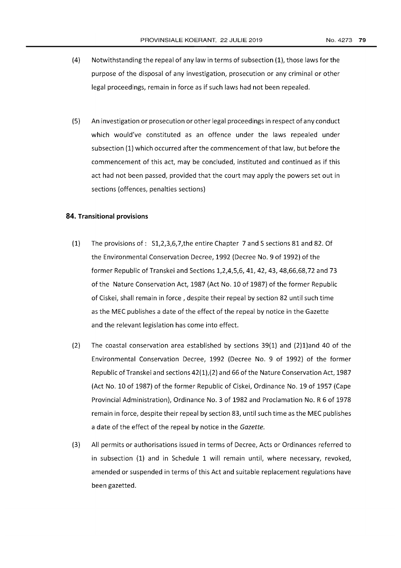- (4) Notwithstanding the repeal of any law in terms of subsection (1), those laws for the purpose of the disposal of any investigation, prosecution or any criminal or other legal proceedings, remain in force as if such laws had not been repealed.
- (5) An investigation or prosecution or other legal proceedings in respect of any conduct which would've constituted as an offence under the laws repealed under subsection (1) which occurred after the commencement of that law, but before the commencement of this act, may be concluded, instituted and continued as if this act had not been passed, provided that the court may apply the powers set out in sections (offences, penalties sections)

#### **84. Transitional provisions**

- (1) The provisions of: Sl,2,3,6,7,the entire Chapter 7 and S sections 81 and 82. Of the Environmental Conservation Decree, 1992 (Decree No. 9 of 1992) of the former Republic of Transkei and Sections 1,2,4,5,6, 41, 42, 43, 48,66,68,72 and 73 of the Nature Conservation Act, 1987 (Act No. 10 of 1987) of the former Republic of Ciskei, shall remain in force, despite their repeal by section 82 until such time as the MEC publishes a date of the effect of the repeal by notice in the Gazette and the relevant legislation has come into effect.
- (2) The coastal conservation area established by sections 39(1) and (2)1)and 40 of the Environmental Conservation Decree, 1992 (Decree No. 9 of 1992) of the former Republic of Transkei and sections  $42(1)$ , (2) and 66 of the Nature Conservation Act, 1987 (Act No. 10 of 1987) of the former Republic of Ciskei, Ordinance No. 19 of 1957 (Cape Provincial Administration), Ordinance No. 3 of 1982 and Proclamation No. R 6 of 1978 remain in force, despite their repeal by section 83, until such time as the MEC publishes a date of the effect of the repeal by notice in the *Gazette.*
- (3) All permits or authorisations issued in terms of Decree, Acts or Ordinances referred to in subsection (1) and in Schedule 1 will remain until, where necessary, revoked, amended or suspended in terms of this Act and suitable replacement regulations have been gazetted.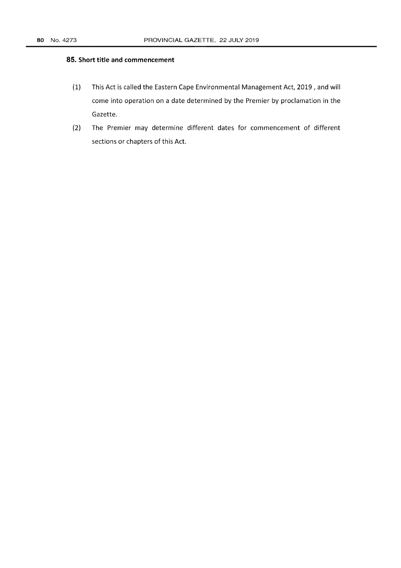# **85. Short title and commencement**

- (1) This Act is called the Eastern Cape Environmental Management Act, 2019 , and **will**  come into operation on a date determined by the Premier by proclamation in the Gazette.
- (2) The Premier may determine different dates for commencement of different sections or chapters of this Act.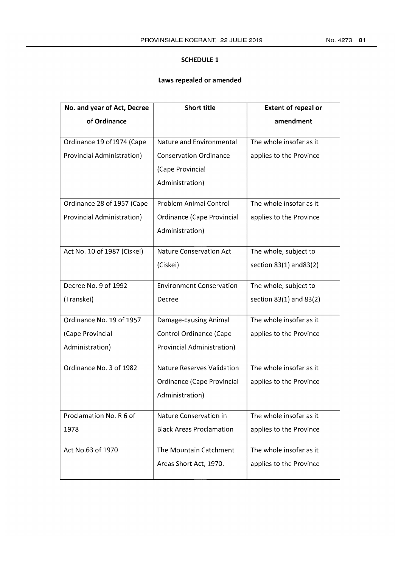# **SCHEDULE 1**

# **Laws repealed or amended**

| No. and year of Act, Decree | <b>Short title</b>                | <b>Extent of repeal or</b>  |
|-----------------------------|-----------------------------------|-----------------------------|
| of Ordinance                |                                   | amendment                   |
|                             | Nature and Environmental          | The whole insofar as it     |
| Ordinance 19 of 1974 (Cape  |                                   |                             |
| Provincial Administration)  | <b>Conservation Ordinance</b>     | applies to the Province     |
|                             | (Cape Provincial                  |                             |
|                             | Administration)                   |                             |
| Ordinance 28 of 1957 (Cape  | <b>Problem Animal Control</b>     | The whole insofar as it     |
| Provincial Administration)  | Ordinance (Cape Provincial        | applies to the Province     |
|                             | Administration)                   |                             |
| Act No. 10 of 1987 (Ciskei) | Nature Conservation Act           | The whole, subject to       |
|                             | (Ciskei)                          | section $83(1)$ and $83(2)$ |
| Decree No. 9 of 1992        | <b>Environment Conservation</b>   | The whole, subject to       |
| (Transkei)                  | Decree                            | section $83(1)$ and $83(2)$ |
| Ordinance No. 19 of 1957    | Damage-causing Animal             | The whole insofar as it     |
| (Cape Provincial            | Control Ordinance (Cape           | applies to the Province     |
| Administration)             | Provincial Administration)        |                             |
| Ordinance No. 3 of 1982     | <b>Nature Reserves Validation</b> | The whole insofar as it     |
|                             | Ordinance (Cape Provincial        | applies to the Province     |
|                             | Administration)                   |                             |
| Proclamation No. R 6 of     | Nature Conservation in            | The whole insofar as it     |
| 1978                        | <b>Black Areas Proclamation</b>   | applies to the Province     |
| Act No.63 of 1970           | The Mountain Catchment            | The whole insofar as it     |
|                             | Areas Short Act, 1970.            | applies to the Province     |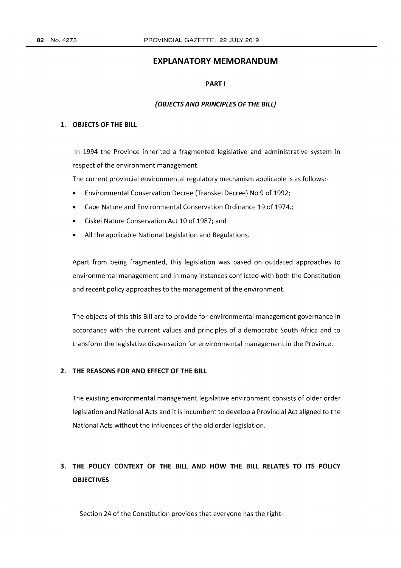# **EXPLANATORY MEMORANDUM**

### PART I

#### **(OBJECTS AND PRINCIPLES OF THE BILL)**

# **1. OBJECTS OF THE BILL**

In 1994 the Province inherited a fragmented legislative and administrative system in respect of the environment management.

The current provincial environmental regulatory mechanism applicable is as follows:-

- Environmental Conservation Decree (Transkei Decree) No 9 of 1992;
- Cape Nature and Environmental Conservation Ordinance 19 of 1974.;
- Ciskei Nature Conservation Act 10 of 1987; and
- All the applicable National Legislation and Regulations.

Apart from being fragmented, this legislation was based on outdated approaches to environmental management and in many instances conflicted with both the Constitution and recent policy approaches to the management of the environment.

The objects of this this Bill are to provide for environmental management governance in accordance with the current values and principles of a democratic South Africa and to transform the legislative dispensation for environmental management in the Province.

# **2. THE REASONS FOR AND EFFECT OF THE BILL**

The existing environmental management legislative environment consists of older order legislation and National Acts and it is incumbent to develop a Provincial Act aligned to the National Acts without the influences of the old order legislation.

# **3. THE POLICY CONTEXT OF THE BILL AND HOW THE BILL RELATES TO ITS POLICY OBJECTIVES**

Section 24 of the Constitution provides that everyone has the right-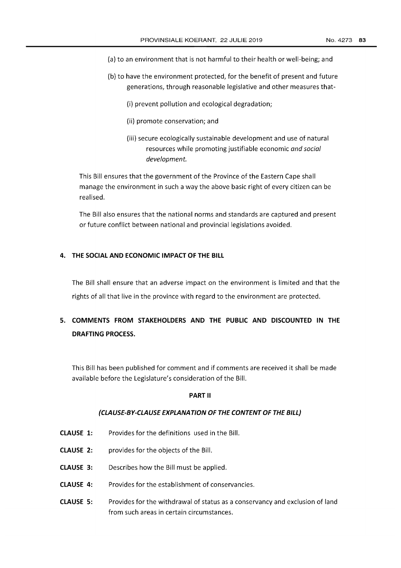- (a) to an environment that is not harmful to their health or well-being; and
- (b) to have the environment protected, for the benefit of present and future generations, through reasonable legislative and other measures that-
	- (i) prevent pollution and ecological degradation;
	- (ii) promote conservation; and
	- (iii) secure ecologically sustainable development and use of natural resources while promoting justifiable economic and social development.

This Bill ensures that the government of the Province of the Eastern Cape shall manage the environment in such a way the above basic right of every citizen can be realised.

The Bill also ensures that the national norms and standards are captured and present or future conflict between national and provincial legislations avoided.

### **4. THE SOCIAL AND ECONOMIC IMPACT OF THE BILL**

The Bill shall ensure that an adverse impact on the environment is limited and that the rights of all that live in the province with regard to the environment are protected.

# **5. COMMENTS FROM STAKEHOLDERS AND THE PUBLIC AND DISCOUNTED IN THE DRAFTING PROCESS.**

This Bill has been published for comment and if comments are received it shall be made available before the Legislature's consideration of the Bill.

# **PART II**

#### **(CLAUSE-BY-CLAUSE EXPLANATION OF THE CONTENT OF THE BILL)**

- **CLAUSE 1:**  Provides for the definitions used in the Bill.
- **CLAUSE 2:**  provides for the objects of the Bill.
- **CLAUSE 3:**  Describes how the Bill must be applied.
- **CLAUSE 4:**  Provides for the establishment of conservancies.
- **CLAUSE 5:**  Provides for the withdrawal of status as a conservancy and exclusion of land from such areas in certain circumstances.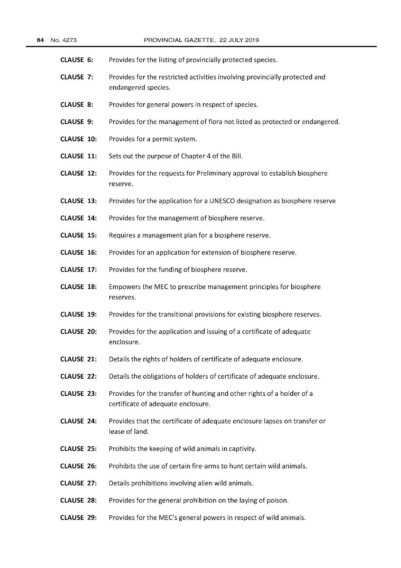| <b>CLAUSE 6:</b>  | Provides for the listing of provincially protected species.                                                  |
|-------------------|--------------------------------------------------------------------------------------------------------------|
| <b>CLAUSE 7:</b>  | Provides for the restricted activities involving provincially protected and<br>endangered species.           |
| <b>CLAUSE 8:</b>  | Provides for general powers in respect of species.                                                           |
| <b>CLAUSE 9:</b>  | Provides for the management of flora not listed as protected or endangered.                                  |
| <b>CLAUSE 10:</b> | Provides for a permit system.                                                                                |
| <b>CLAUSE 11:</b> | Sets out the purpose of Chapter 4 of the Bill.                                                               |
| <b>CLAUSE 12:</b> | Provides for the requests for Preliminary approval to establish biosphere<br>reserve.                        |
| <b>CLAUSE 13:</b> | Provides for the application for a UNESCO designation as biosphere reserve                                   |
| <b>CLAUSE 14:</b> | Provides for the management of biosphere reserve.                                                            |
| <b>CLAUSE 15:</b> | Requires a management plan for a biosphere reserve.                                                          |
| <b>CLAUSE 16:</b> | Provides for an application for extension of biosphere reserve.                                              |
| <b>CLAUSE 17:</b> | Provides for the funding of biosphere reserve.                                                               |
| <b>CLAUSE 18:</b> | Empowers the MEC to prescribe management principles for biosphere<br>reserves.                               |
| <b>CLAUSE 19:</b> | Provides for the transitional provisions for existing biosphere reserves.                                    |
| <b>CLAUSE 20:</b> | Provides for the application and issuing of a certificate of adequate<br>enclosure.                          |
| <b>CLAUSE 21:</b> | Details the rights of holders of certificate of adequate enclosure.                                          |
| <b>CLAUSE 22:</b> | Details the obligations of holders of certificate of adequate enclosure.                                     |
| <b>CLAUSE 23:</b> | Provides for the transfer of hunting and other rights of a holder of a<br>certificate of adequate enclosure. |
| <b>CLAUSE 24:</b> | Provides that the certificate of adequate enclosure lapses on transfer or<br>lease of land.                  |
| <b>CLAUSE 25:</b> | Prohibits the keeping of wild animals in captivity.                                                          |
| <b>CLAUSE 26:</b> | Prohibits the use of certain fire-arms to hunt certain wild animals.                                         |
| <b>CLAUSE 27:</b> | Details prohibitions involving alien wild animals.                                                           |
| <b>CLAUSE 28:</b> | Provides for the general prohibition on the laying of poison.                                                |
| <b>CLAUSE 29:</b> | Provides for the MEC's general powers in respect of wild animals.                                            |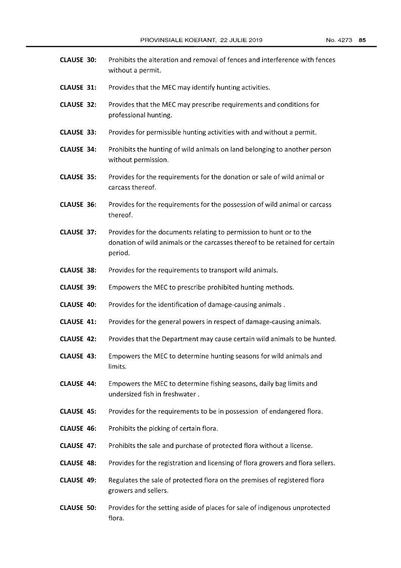| <b>CLAUSE 30:</b> | Prohibits the alteration and removal of fences and interference with fences<br>without a permit.                                                               |
|-------------------|----------------------------------------------------------------------------------------------------------------------------------------------------------------|
| <b>CLAUSE 31:</b> | Provides that the MEC may identify hunting activities.                                                                                                         |
| <b>CLAUSE 32:</b> | Provides that the MEC may prescribe requirements and conditions for<br>professional hunting.                                                                   |
| <b>CLAUSE 33:</b> | Provides for permissible hunting activities with and without a permit.                                                                                         |
| <b>CLAUSE 34:</b> | Prohibits the hunting of wild animals on land belonging to another person<br>without permission.                                                               |
| <b>CLAUSE 35:</b> | Provides for the requirements for the donation or sale of wild animal or<br>carcass thereof.                                                                   |
| <b>CLAUSE 36:</b> | Provides for the requirements for the possession of wild animal or carcass<br>thereof.                                                                         |
| <b>CLAUSE 37:</b> | Provides for the documents relating to permission to hunt or to the<br>donation of wild animals or the carcasses thereof to be retained for certain<br>period. |
| <b>CLAUSE 38:</b> | Provides for the requirements to transport wild animals.                                                                                                       |
| CLAUSE 39:        | Empowers the MEC to prescribe prohibited hunting methods.                                                                                                      |
| <b>CLAUSE 40:</b> | Provides for the identification of damage-causing animals.                                                                                                     |
| <b>CLAUSE 41:</b> | Provides for the general powers in respect of damage-causing animals.                                                                                          |
| <b>CLAUSE 42:</b> | Provides that the Department may cause certain wild animals to be hunted.                                                                                      |
| <b>CLAUSE 43:</b> | Empowers the MEC to determine hunting seasons for wild animals and<br>limits.                                                                                  |
| <b>CLAUSE 44:</b> | Empowers the MEC to determine fishing seasons, daily bag limits and<br>undersized fish in freshwater.                                                          |
| <b>CLAUSE 45:</b> | Provides for the requirements to be in possession of endangered flora.                                                                                         |
| <b>CLAUSE 46:</b> | Prohibits the picking of certain flora.                                                                                                                        |
| <b>CLAUSE 47:</b> | Prohibits the sale and purchase of protected flora without a license.                                                                                          |
| <b>CLAUSE 48:</b> | Provides for the registration and licensing of flora growers and flora sellers.                                                                                |
| <b>CLAUSE 49:</b> | Regulates the sale of protected flora on the premises of registered flora<br>growers and sellers.                                                              |
| <b>CLAUSE 50:</b> | Provides for the setting aside of places for sale of indigenous unprotected<br>flora.                                                                          |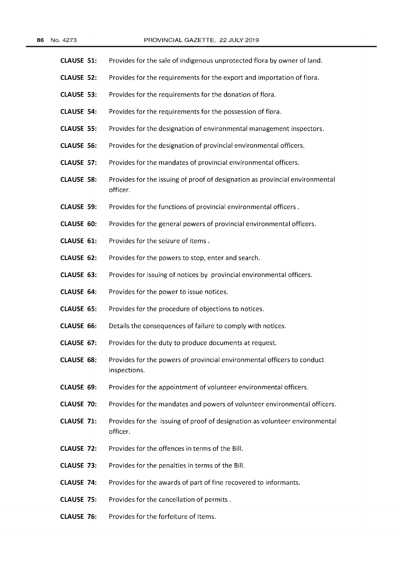| <b>CLAUSE 51:</b> | Provides for the sale of indigenous unprotected flora by owner of land.                  |
|-------------------|------------------------------------------------------------------------------------------|
| <b>CLAUSE 52:</b> | Provides for the requirements for the export and importation of flora.                   |
| <b>CLAUSE 53:</b> | Provides for the requirements for the donation of flora.                                 |
| <b>CLAUSE 54:</b> | Provides for the requirements for the possession of flora.                               |
| <b>CLAUSE 55:</b> | Provides for the designation of environmental management inspectors.                     |
| <b>CLAUSE 56:</b> | Provides for the designation of provincial environmental officers.                       |
| <b>CLAUSE 57:</b> | Provides for the mandates of provincial environmental officers.                          |
| <b>CLAUSE 58:</b> | Provides for the issuing of proof of designation as provincial environmental<br>officer. |
| <b>CLAUSE 59:</b> | Provides for the functions of provincial environmental officers.                         |
| <b>CLAUSE 60:</b> | Provides for the general powers of provincial environmental officers.                    |
| CLAUSE 61:        | Provides for the seizure of items.                                                       |
| <b>CLAUSE 62:</b> | Provides for the powers to stop, enter and search.                                       |
| <b>CLAUSE 63:</b> | Provides for issuing of notices by provincial environmental officers.                    |
| <b>CLAUSE 64:</b> | Provides for the power to issue notices.                                                 |
| <b>CLAUSE 65:</b> | Provides for the procedure of objections to notices.                                     |
| <b>CLAUSE 66:</b> | Details the consequences of failure to comply with notices.                              |
| <b>CLAUSE 67:</b> | Provides for the duty to produce documents at request.                                   |
| <b>CLAUSE 68:</b> | Provides for the powers of provincial environmental officers to conduct<br>inspections.  |
| <b>CLAUSE 69:</b> | Provides for the appointment of volunteer environmental officers.                        |
| <b>CLAUSE 70:</b> | Provides for the mandates and powers of volunteer environmental officers.                |
| CLAUSE 71:        | Provides for the issuing of proof of designation as volunteer environmental<br>officer.  |
| <b>CLAUSE 72:</b> | Provides for the offences in terms of the Bill.                                          |
| <b>CLAUSE 73:</b> | Provides for the penalties in terms of the Bill.                                         |
| <b>CLAUSE 74:</b> | Provides for the awards of part of fine recovered to informants.                         |
| <b>CLAUSE 75:</b> | Provides for the cancellation of permits.                                                |
| <b>CLAUSE 76:</b> | Provides for the forfeiture of Items.                                                    |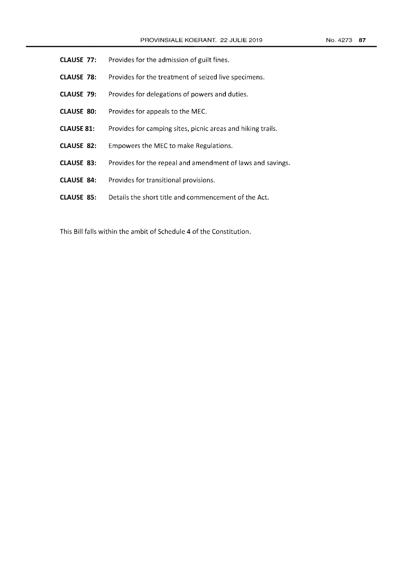- **CLAUSE 77:**  Provides for the admission of guilt fines.
- **CLAUSE 78:**  Provides for the treatment of seized live specimens.
- **CLAUSE 79:**  Provides for delegations of powers and duties.
- **CLAUSE 80:**  Provides for appeals to the MEC.
- **CLAUSE 81:**  Provides for camping sites, picnic areas and hiking trails.
- **CLAUSE 82:**  Empowers the MEC to make Regulations.
- **CLAUSE 83:**  Provides for the repeal and amendment of laws and savings.
- **CLAUSE 84:**  Provides for transitional provisions.
- **CLAUSE 85:**  Details the short title and commencement of the Act.

This Bill falls within the ambit of Schedule 4 of the Constitution.